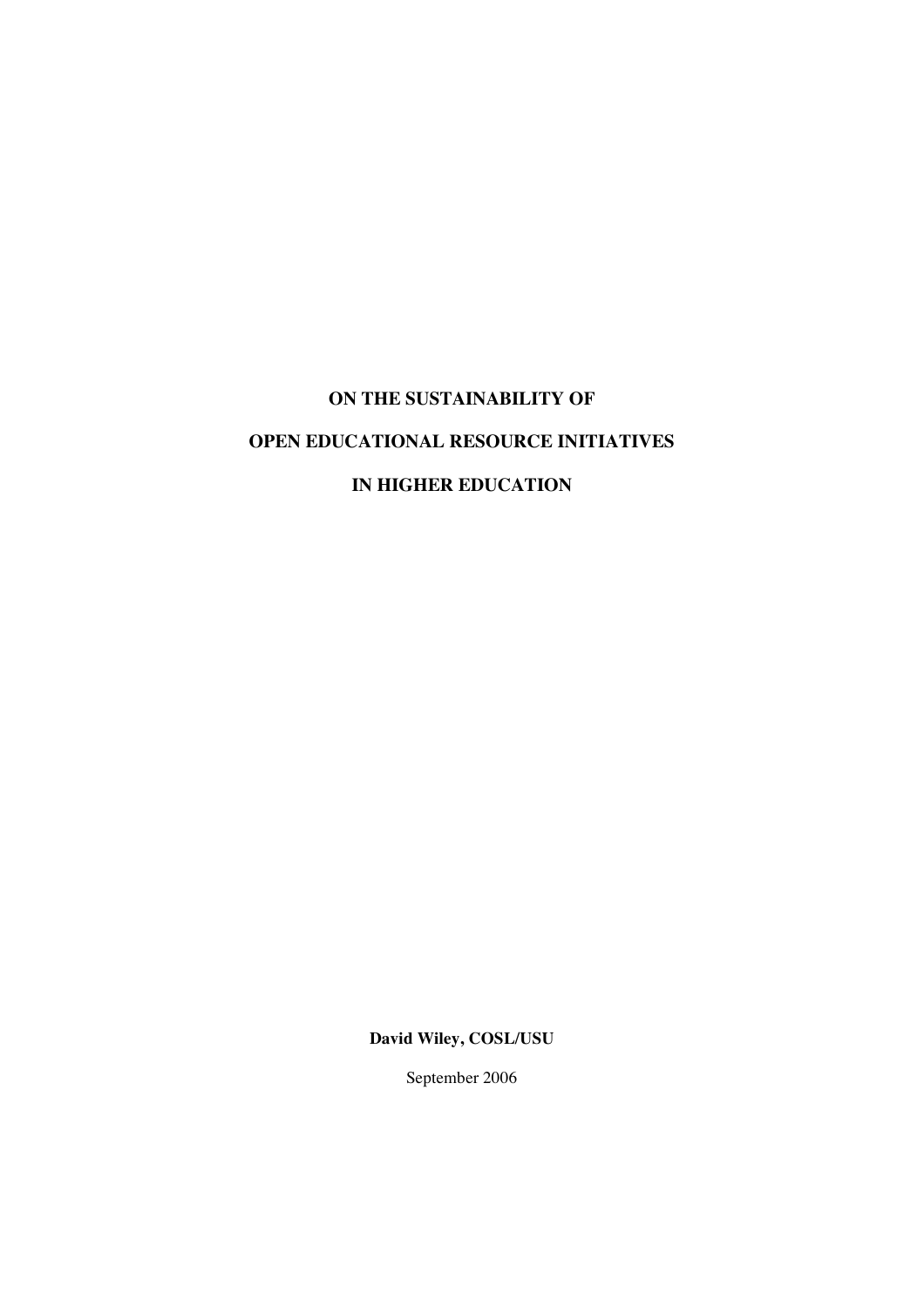## **ON THE SUSTAINABILITY OF**

# **OPEN EDUCATIONAL RESOURCE INITIATIVES**

## **IN HIGHER EDUCATION**

**David Wiley, COSL/USU**

September 2006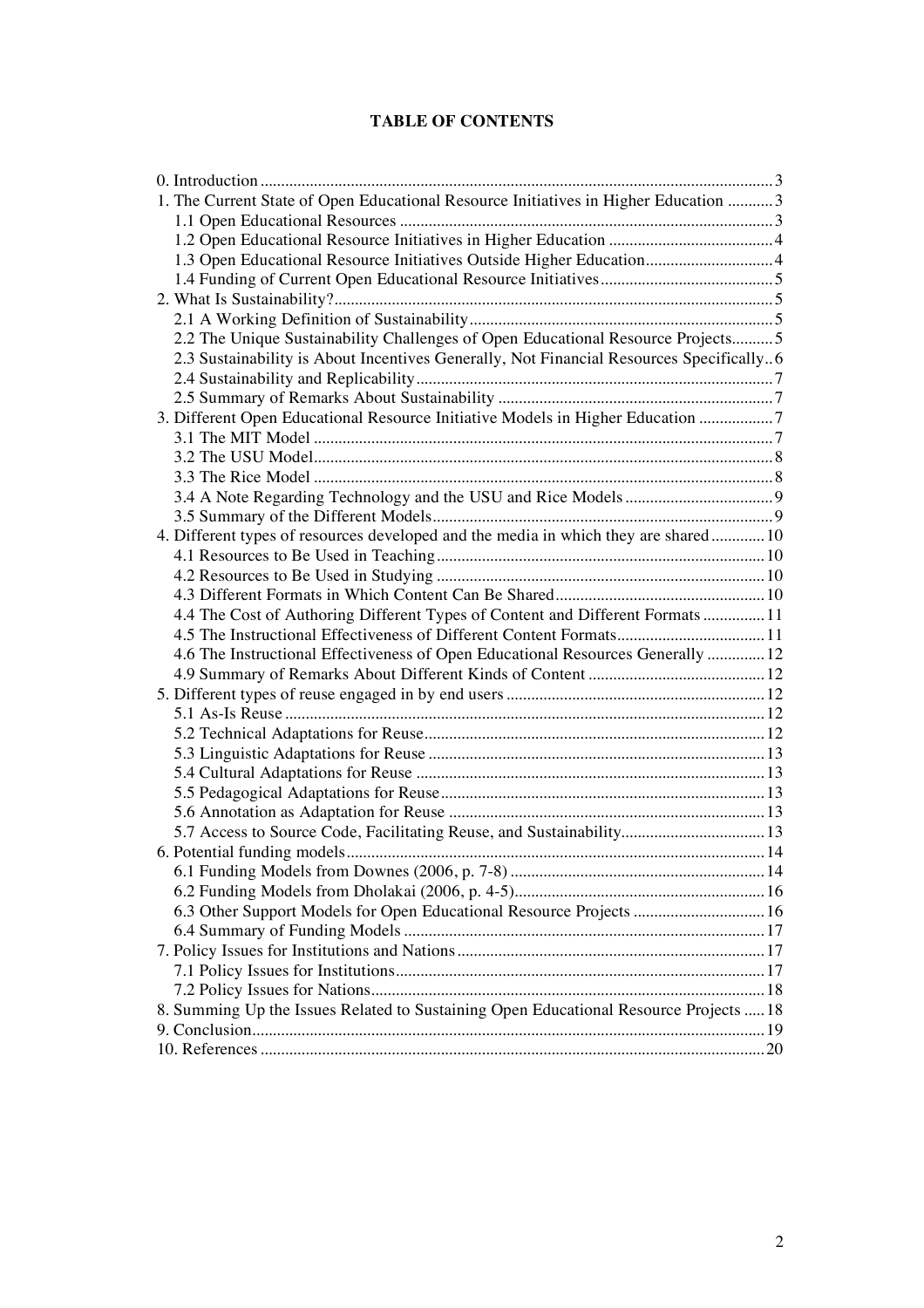## **TABLE OF CONTENTS**

| 1. The Current State of Open Educational Resource Initiatives in Higher Education  3    |  |
|-----------------------------------------------------------------------------------------|--|
|                                                                                         |  |
|                                                                                         |  |
| 1.3 Open Educational Resource Initiatives Outside Higher Education4                     |  |
|                                                                                         |  |
|                                                                                         |  |
|                                                                                         |  |
| 2.2 The Unique Sustainability Challenges of Open Educational Resource Projects 5        |  |
| 2.3 Sustainability is About Incentives Generally, Not Financial Resources Specifically6 |  |
|                                                                                         |  |
|                                                                                         |  |
| 3. Different Open Educational Resource Initiative Models in Higher Education 7          |  |
|                                                                                         |  |
|                                                                                         |  |
|                                                                                         |  |
|                                                                                         |  |
|                                                                                         |  |
| 4. Different types of resources developed and the media in which they are shared 10     |  |
|                                                                                         |  |
|                                                                                         |  |
|                                                                                         |  |
| 4.4 The Cost of Authoring Different Types of Content and Different Formats  11          |  |
| 4.5 The Instructional Effectiveness of Different Content Formats 11                     |  |
| 4.6 The Instructional Effectiveness of Open Educational Resources Generally  12         |  |
|                                                                                         |  |
|                                                                                         |  |
|                                                                                         |  |
|                                                                                         |  |
|                                                                                         |  |
|                                                                                         |  |
|                                                                                         |  |
|                                                                                         |  |
| 5.7 Access to Source Code, Facilitating Reuse, and Sustainability 13                    |  |
|                                                                                         |  |
|                                                                                         |  |
|                                                                                         |  |
| 6.3 Other Support Models for Open Educational Resource Projects  16                     |  |
|                                                                                         |  |
|                                                                                         |  |
|                                                                                         |  |
| 8. Summing Up the Issues Related to Sustaining Open Educational Resource Projects  18   |  |
|                                                                                         |  |
|                                                                                         |  |
|                                                                                         |  |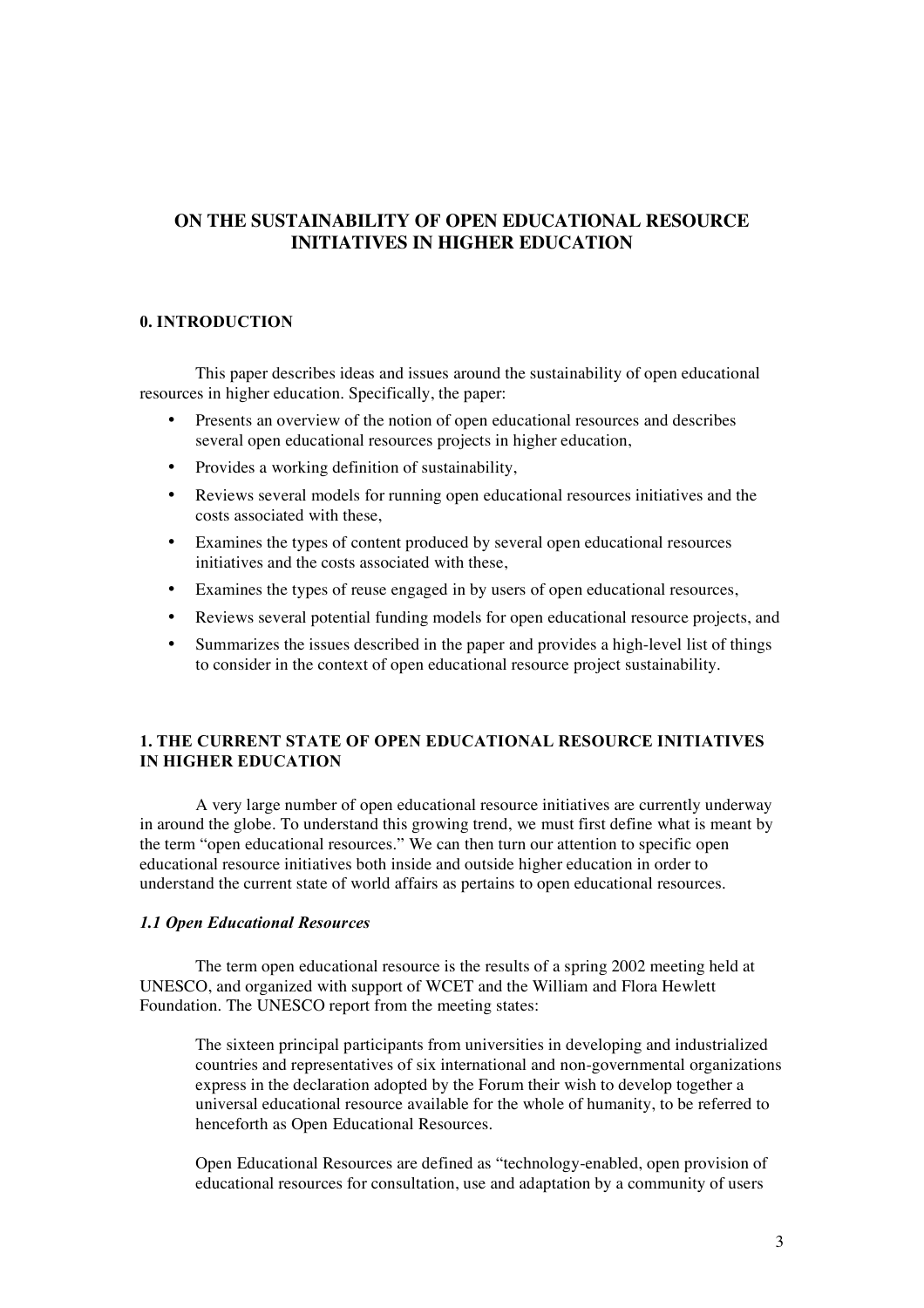## **ON THE SUSTAINABILITY OF OPEN EDUCATIONAL RESOURCE INITIATIVES IN HIGHER EDUCATION**

## **0. INTRODUCTION**

This paper describes ideas and issues around the sustainability of open educational resources in higher education. Specifically, the paper:

- Presents an overview of the notion of open educational resources and describes several open educational resources projects in higher education,
- Provides a working definition of sustainability,
- Reviews several models for running open educational resources initiatives and the costs associated with these,
- Examines the types of content produced by several open educational resources initiatives and the costs associated with these,
- Examines the types of reuse engaged in by users of open educational resources,
- Reviews several potential funding models for open educational resource projects, and
- Summarizes the issues described in the paper and provides a high-level list of things to consider in the context of open educational resource project sustainability.

## **1. THE CURRENT STATE OF OPEN EDUCATIONAL RESOURCE INITIATIVES IN HIGHER EDUCATION**

A very large number of open educational resource initiatives are currently underway in around the globe. To understand this growing trend, we must first define what is meant by the term "open educational resources." We can then turn our attention to specific open educational resource initiatives both inside and outside higher education in order to understand the current state of world affairs as pertains to open educational resources.

#### *1.1 Open Educational Resources*

The term open educational resource is the results of a spring 2002 meeting held at UNESCO, and organized with support of WCET and the William and Flora Hewlett Foundation. The UNESCO report from the meeting states:

The sixteen principal participants from universities in developing and industrialized countries and representatives of six international and non-governmental organizations express in the declaration adopted by the Forum their wish to develop together a universal educational resource available for the whole of humanity, to be referred to henceforth as Open Educational Resources.

Open Educational Resources are defined as "technology-enabled, open provision of educational resources for consultation, use and adaptation by a community of users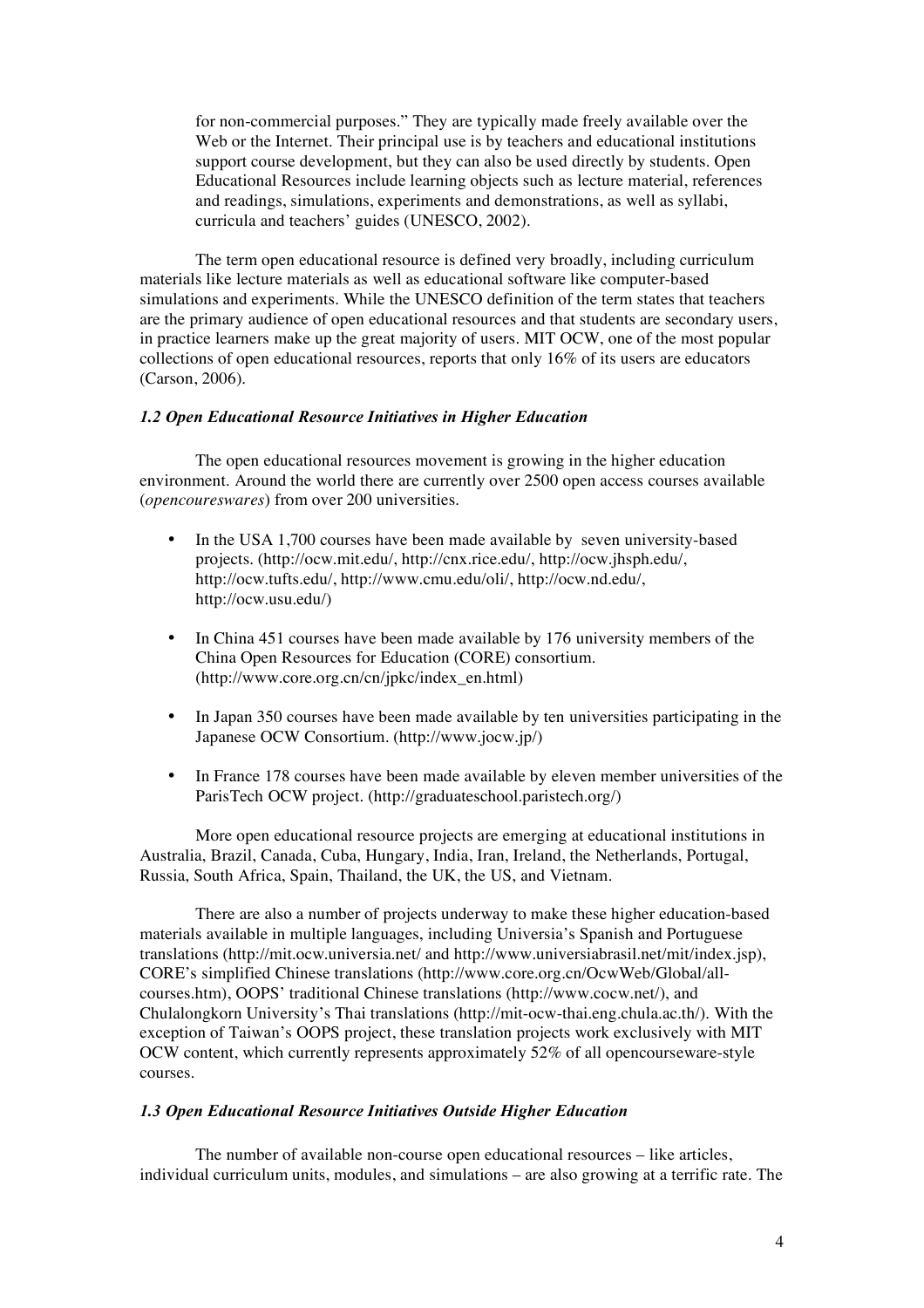for non-commercial purposes." They are typically made freely available over the Web or the Internet. Their principal use is by teachers and educational institutions support course development, but they can also be used directly by students. Open Educational Resources include learning objects such as lecture material, references and readings, simulations, experiments and demonstrations, as well as syllabi, curricula and teachers' guides (UNESCO, 2002).

The term open educational resource is defined very broadly, including curriculum materials like lecture materials as well as educational software like computer-based simulations and experiments. While the UNESCO definition of the term states that teachers are the primary audience of open educational resources and that students are secondary users, in practice learners make up the great majority of users. MIT OCW, one of the most popular collections of open educational resources, reports that only 16% of its users are educators (Carson, 2006).

## *1.2 Open Educational Resource Initiatives in Higher Education*

The open educational resources movement is growing in the higher education environment. Around the world there are currently over 2500 open access courses available (*opencoureswares*) from over 200 universities.

- In the USA 1,700 courses have been made available by seven university-based projects. (http://ocw.mit.edu/, http://cnx.rice.edu/, http://ocw.jhsph.edu/, http://ocw.tufts.edu/, http://www.cmu.edu/oli/, http://ocw.nd.edu/, http://ocw.usu.edu/)
- In China 451 courses have been made available by 176 university members of the China Open Resources for Education (CORE) consortium. (http://www.core.org.cn/cn/jpkc/index\_en.html)
- In Japan 350 courses have been made available by ten universities participating in the Japanese OCW Consortium. (http://www.jocw.jp/)
- In France 178 courses have been made available by eleven member universities of the ParisTech OCW project. (http://graduateschool.paristech.org/)

More open educational resource projects are emerging at educational institutions in Australia, Brazil, Canada, Cuba, Hungary, India, Iran, Ireland, the Netherlands, Portugal, Russia, South Africa, Spain, Thailand, the UK, the US, and Vietnam.

There are also a number of projects underway to make these higher education-based materials available in multiple languages, including Universia's Spanish and Portuguese translations (http://mit.ocw.universia.net/ and http://www.universiabrasil.net/mit/index.jsp), CORE's simplified Chinese translations (http://www.core.org.cn/OcwWeb/Global/allcourses.htm), OOPS' traditional Chinese translations (http://www.cocw.net/), and Chulalongkorn University's Thai translations (http://mit-ocw-thai.eng.chula.ac.th/). With the exception of Taiwan's OOPS project, these translation projects work exclusively with MIT OCW content, which currently represents approximately 52% of all opencourseware-style courses.

## *1.3 Open Educational Resource Initiatives Outside Higher Education*

The number of available non-course open educational resources – like articles, individual curriculum units, modules, and simulations – are also growing at a terrific rate. The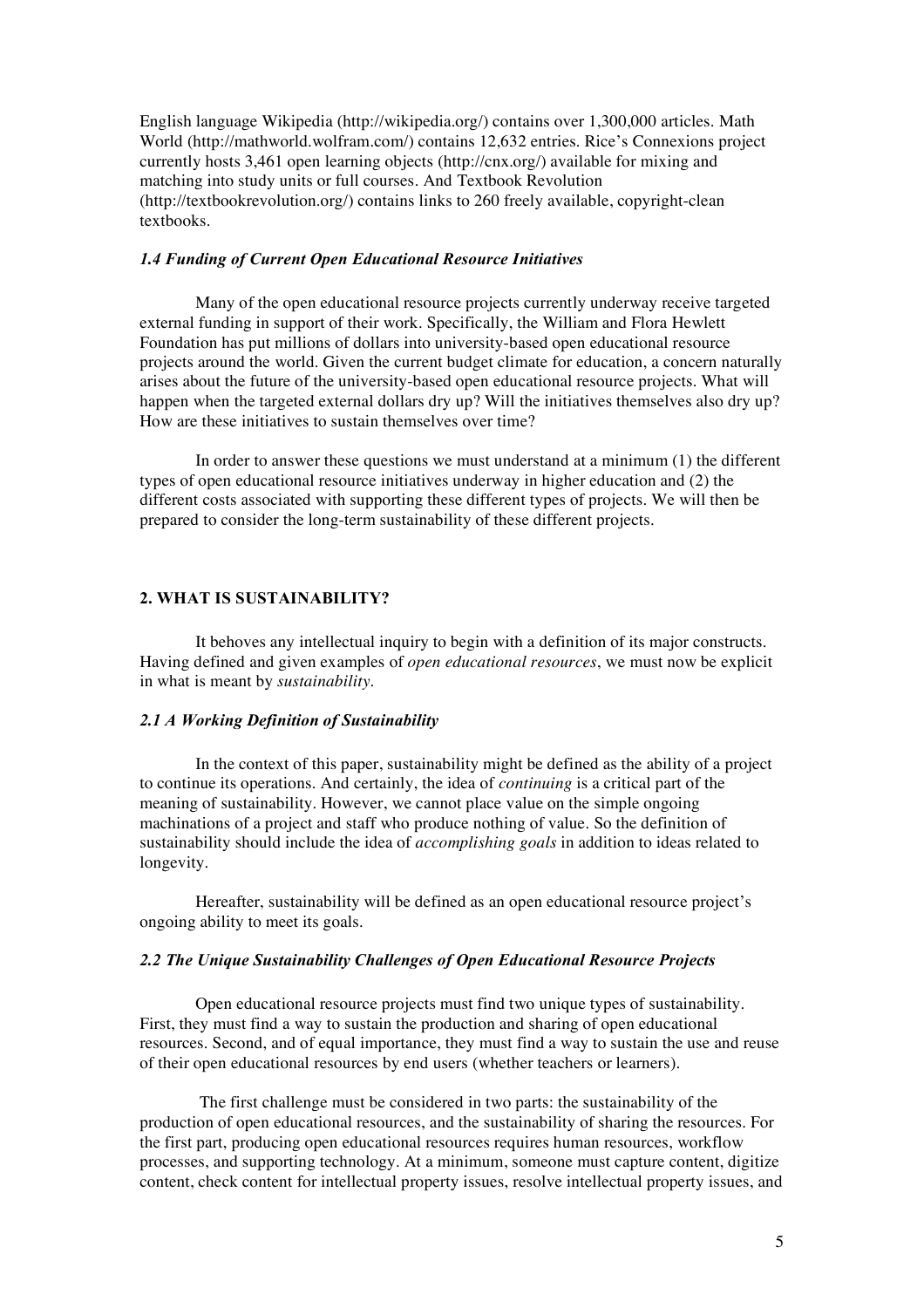English language Wikipedia (http://wikipedia.org/) contains over 1,300,000 articles. Math World (http://mathworld.wolfram.com/) contains 12,632 entries. Rice's Connexions project currently hosts 3,461 open learning objects (http://cnx.org/) available for mixing and matching into study units or full courses. And Textbook Revolution (http://textbookrevolution.org/) contains links to 260 freely available, copyright-clean textbooks.

#### *1.4 Funding of Current Open Educational Resource Initiatives*

Many of the open educational resource projects currently underway receive targeted external funding in support of their work. Specifically, the William and Flora Hewlett Foundation has put millions of dollars into university-based open educational resource projects around the world. Given the current budget climate for education, a concern naturally arises about the future of the university-based open educational resource projects. What will happen when the targeted external dollars dry up? Will the initiatives themselves also dry up? How are these initiatives to sustain themselves over time?

In order to answer these questions we must understand at a minimum (1) the different types of open educational resource initiatives underway in higher education and (2) the different costs associated with supporting these different types of projects. We will then be prepared to consider the long-term sustainability of these different projects.

#### **2. WHAT IS SUSTAINABILITY?**

It behoves any intellectual inquiry to begin with a definition of its major constructs. Having defined and given examples of *open educational resources*, we must now be explicit in what is meant by *sustainability*.

#### *2.1 A Working Definition of Sustainability*

In the context of this paper, sustainability might be defined as the ability of a project to continue its operations. And certainly, the idea of *continuing* is a critical part of the meaning of sustainability. However, we cannot place value on the simple ongoing machinations of a project and staff who produce nothing of value. So the definition of sustainability should include the idea of *accomplishing goals* in addition to ideas related to longevity.

Hereafter, sustainability will be defined as an open educational resource project's ongoing ability to meet its goals.

## *2.2 The Unique Sustainability Challenges of Open Educational Resource Projects*

Open educational resource projects must find two unique types of sustainability. First, they must find a way to sustain the production and sharing of open educational resources. Second, and of equal importance, they must find a way to sustain the use and reuse of their open educational resources by end users (whether teachers or learners).

The first challenge must be considered in two parts: the sustainability of the production of open educational resources, and the sustainability of sharing the resources. For the first part, producing open educational resources requires human resources, workflow processes, and supporting technology. At a minimum, someone must capture content, digitize content, check content for intellectual property issues, resolve intellectual property issues, and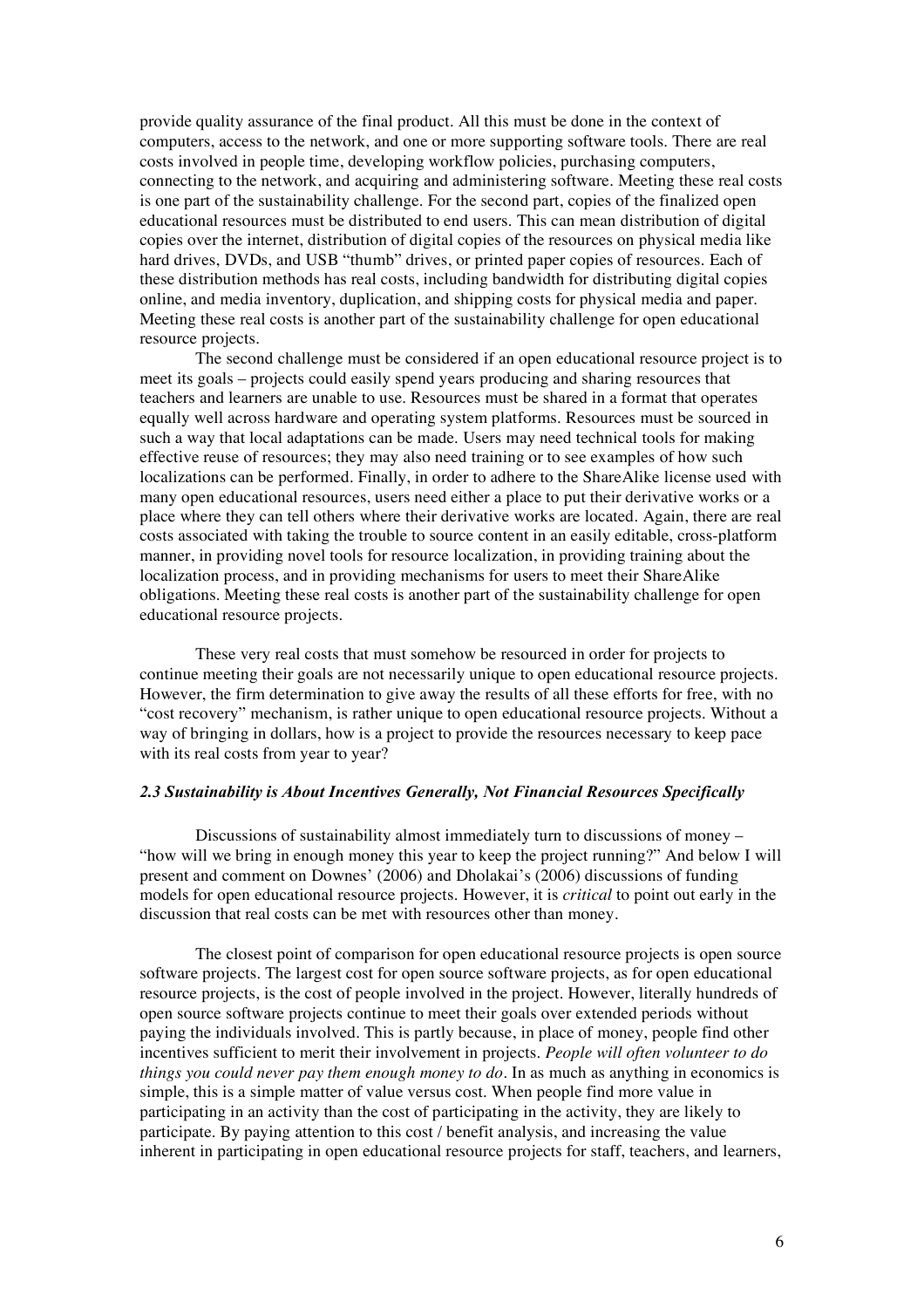provide quality assurance of the final product. All this must be done in the context of computers, access to the network, and one or more supporting software tools. There are real costs involved in people time, developing workflow policies, purchasing computers, connecting to the network, and acquiring and administering software. Meeting these real costs is one part of the sustainability challenge. For the second part, copies of the finalized open educational resources must be distributed to end users. This can mean distribution of digital copies over the internet, distribution of digital copies of the resources on physical media like hard drives, DVDs, and USB "thumb" drives, or printed paper copies of resources. Each of these distribution methods has real costs, including bandwidth for distributing digital copies online, and media inventory, duplication, and shipping costs for physical media and paper. Meeting these real costs is another part of the sustainability challenge for open educational resource projects.

The second challenge must be considered if an open educational resource project is to meet its goals – projects could easily spend years producing and sharing resources that teachers and learners are unable to use. Resources must be shared in a format that operates equally well across hardware and operating system platforms. Resources must be sourced in such a way that local adaptations can be made. Users may need technical tools for making effective reuse of resources; they may also need training or to see examples of how such localizations can be performed. Finally, in order to adhere to the ShareAlike license used with many open educational resources, users need either a place to put their derivative works or a place where they can tell others where their derivative works are located. Again, there are real costs associated with taking the trouble to source content in an easily editable, cross-platform manner, in providing novel tools for resource localization, in providing training about the localization process, and in providing mechanisms for users to meet their ShareAlike obligations. Meeting these real costs is another part of the sustainability challenge for open educational resource projects.

These very real costs that must somehow be resourced in order for projects to continue meeting their goals are not necessarily unique to open educational resource projects. However, the firm determination to give away the results of all these efforts for free, with no "cost recovery" mechanism, is rather unique to open educational resource projects. Without a way of bringing in dollars, how is a project to provide the resources necessary to keep pace with its real costs from year to year?

## *2.3 Sustainability is About Incentives Generally, Not Financial Resources Specifically*

Discussions of sustainability almost immediately turn to discussions of money – "how will we bring in enough money this year to keep the project running?" And below I will present and comment on Downes' (2006) and Dholakai's (2006) discussions of funding models for open educational resource projects. However, it is *critical* to point out early in the discussion that real costs can be met with resources other than money.

The closest point of comparison for open educational resource projects is open source software projects. The largest cost for open source software projects, as for open educational resource projects, is the cost of people involved in the project. However, literally hundreds of open source software projects continue to meet their goals over extended periods without paying the individuals involved. This is partly because, in place of money, people find other incentives sufficient to merit their involvement in projects. *People will often volunteer to do things you could never pay them enough money to do*. In as much as anything in economics is simple, this is a simple matter of value versus cost. When people find more value in participating in an activity than the cost of participating in the activity, they are likely to participate. By paying attention to this cost / benefit analysis, and increasing the value inherent in participating in open educational resource projects for staff, teachers, and learners,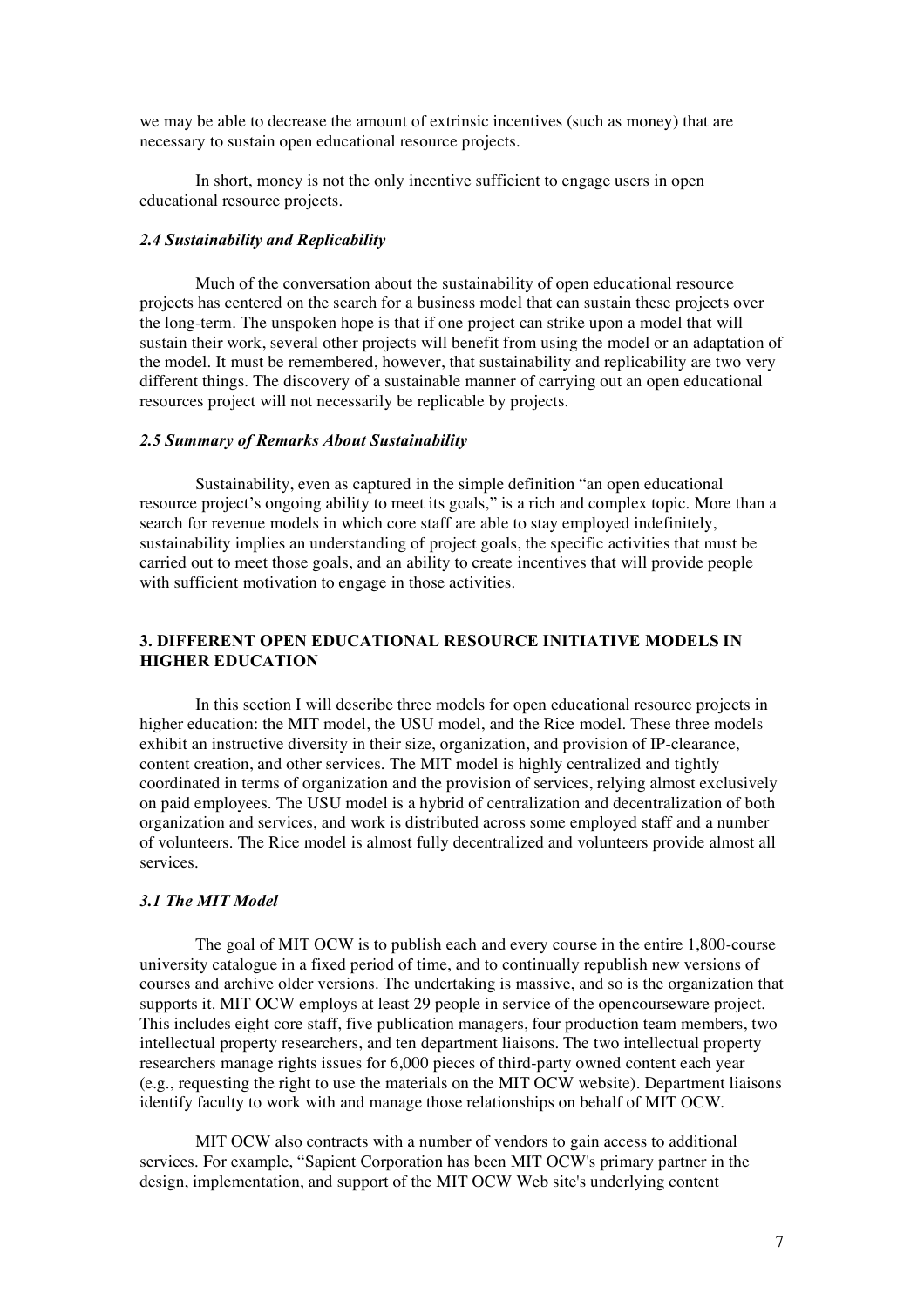we may be able to decrease the amount of extrinsic incentives (such as money) that are necessary to sustain open educational resource projects.

In short, money is not the only incentive sufficient to engage users in open educational resource projects.

#### *2.4 Sustainability and Replicability*

Much of the conversation about the sustainability of open educational resource projects has centered on the search for a business model that can sustain these projects over the long-term. The unspoken hope is that if one project can strike upon a model that will sustain their work, several other projects will benefit from using the model or an adaptation of the model. It must be remembered, however, that sustainability and replicability are two very different things. The discovery of a sustainable manner of carrying out an open educational resources project will not necessarily be replicable by projects.

#### *2.5 Summary of Remarks About Sustainability*

Sustainability, even as captured in the simple definition "an open educational resource project's ongoing ability to meet its goals," is a rich and complex topic. More than a search for revenue models in which core staff are able to stay employed indefinitely, sustainability implies an understanding of project goals, the specific activities that must be carried out to meet those goals, and an ability to create incentives that will provide people with sufficient motivation to engage in those activities.

## **3. DIFFERENT OPEN EDUCATIONAL RESOURCE INITIATIVE MODELS IN HIGHER EDUCATION**

In this section I will describe three models for open educational resource projects in higher education: the MIT model, the USU model, and the Rice model. These three models exhibit an instructive diversity in their size, organization, and provision of IP-clearance, content creation, and other services. The MIT model is highly centralized and tightly coordinated in terms of organization and the provision of services, relying almost exclusively on paid employees. The USU model is a hybrid of centralization and decentralization of both organization and services, and work is distributed across some employed staff and a number of volunteers. The Rice model is almost fully decentralized and volunteers provide almost all services.

## *3.1 The MIT Model*

The goal of MIT OCW is to publish each and every course in the entire 1,800-course university catalogue in a fixed period of time, and to continually republish new versions of courses and archive older versions. The undertaking is massive, and so is the organization that supports it. MIT OCW employs at least 29 people in service of the opencourseware project. This includes eight core staff, five publication managers, four production team members, two intellectual property researchers, and ten department liaisons. The two intellectual property researchers manage rights issues for 6,000 pieces of third-party owned content each year (e.g., requesting the right to use the materials on the MIT OCW website). Department liaisons identify faculty to work with and manage those relationships on behalf of MIT OCW.

MIT OCW also contracts with a number of vendors to gain access to additional services. For example, "Sapient Corporation has been MIT OCW's primary partner in the design, implementation, and support of the MIT OCW Web site's underlying content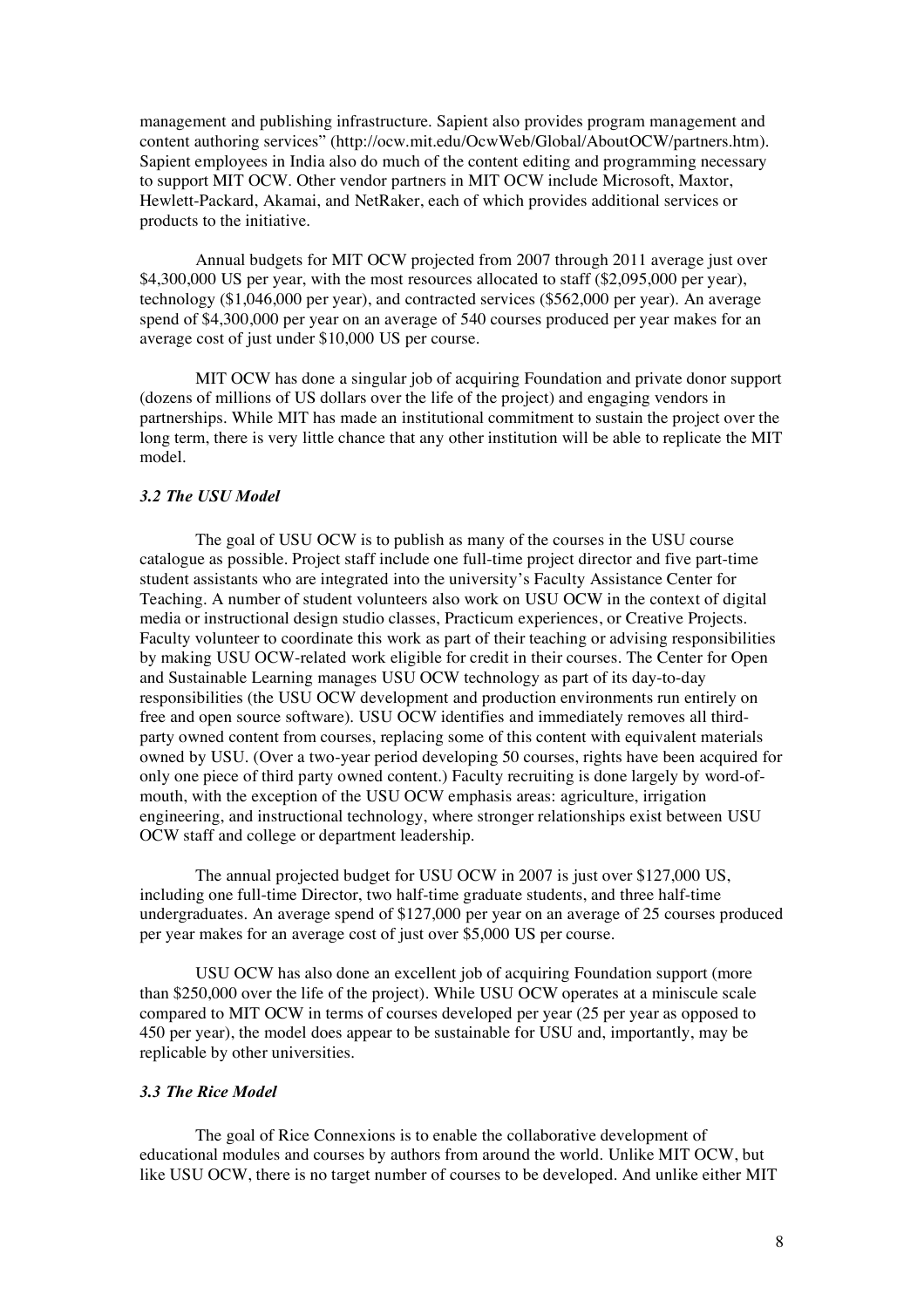management and publishing infrastructure. Sapient also provides program management and content authoring services" (http://ocw.mit.edu/OcwWeb/Global/AboutOCW/partners.htm). Sapient employees in India also do much of the content editing and programming necessary to support MIT OCW. Other vendor partners in MIT OCW include Microsoft, Maxtor, Hewlett-Packard, Akamai, and NetRaker, each of which provides additional services or products to the initiative.

Annual budgets for MIT OCW projected from 2007 through 2011 average just over \$4,300,000 US per year, with the most resources allocated to staff (\$2,095,000 per year), technology (\$1,046,000 per year), and contracted services (\$562,000 per year). An average spend of \$4,300,000 per year on an average of 540 courses produced per year makes for an average cost of just under \$10,000 US per course.

MIT OCW has done a singular job of acquiring Foundation and private donor support (dozens of millions of US dollars over the life of the project) and engaging vendors in partnerships. While MIT has made an institutional commitment to sustain the project over the long term, there is very little chance that any other institution will be able to replicate the MIT model.

#### *3.2 The USU Model*

The goal of USU OCW is to publish as many of the courses in the USU course catalogue as possible. Project staff include one full-time project director and five part-time student assistants who are integrated into the university's Faculty Assistance Center for Teaching. A number of student volunteers also work on USU OCW in the context of digital media or instructional design studio classes, Practicum experiences, or Creative Projects. Faculty volunteer to coordinate this work as part of their teaching or advising responsibilities by making USU OCW-related work eligible for credit in their courses. The Center for Open and Sustainable Learning manages USU OCW technology as part of its day-to-day responsibilities (the USU OCW development and production environments run entirely on free and open source software). USU OCW identifies and immediately removes all thirdparty owned content from courses, replacing some of this content with equivalent materials owned by USU. (Over a two-year period developing 50 courses, rights have been acquired for only one piece of third party owned content.) Faculty recruiting is done largely by word-ofmouth, with the exception of the USU OCW emphasis areas: agriculture, irrigation engineering, and instructional technology, where stronger relationships exist between USU OCW staff and college or department leadership.

The annual projected budget for USU OCW in 2007 is just over \$127,000 US, including one full-time Director, two half-time graduate students, and three half-time undergraduates. An average spend of \$127,000 per year on an average of 25 courses produced per year makes for an average cost of just over \$5,000 US per course.

USU OCW has also done an excellent job of acquiring Foundation support (more than \$250,000 over the life of the project). While USU OCW operates at a miniscule scale compared to MIT OCW in terms of courses developed per year (25 per year as opposed to 450 per year), the model does appear to be sustainable for USU and, importantly, may be replicable by other universities.

#### *3.3 The Rice Model*

The goal of Rice Connexions is to enable the collaborative development of educational modules and courses by authors from around the world. Unlike MIT OCW, but like USU OCW, there is no target number of courses to be developed. And unlike either MIT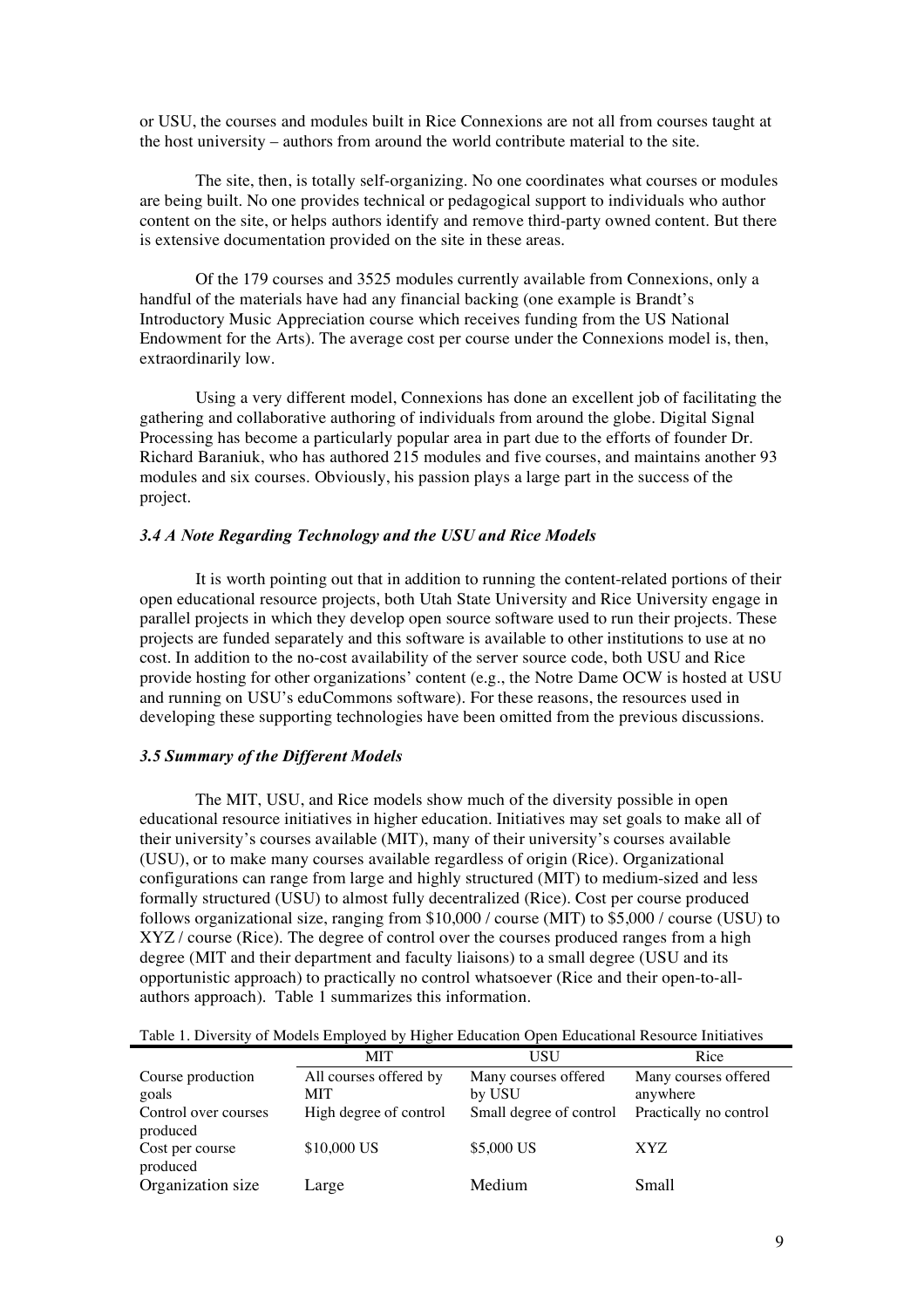or USU, the courses and modules built in Rice Connexions are not all from courses taught at the host university – authors from around the world contribute material to the site.

The site, then, is totally self-organizing. No one coordinates what courses or modules are being built. No one provides technical or pedagogical support to individuals who author content on the site, or helps authors identify and remove third-party owned content. But there is extensive documentation provided on the site in these areas.

Of the 179 courses and 3525 modules currently available from Connexions, only a handful of the materials have had any financial backing (one example is Brandt's Introductory Music Appreciation course which receives funding from the US National Endowment for the Arts). The average cost per course under the Connexions model is, then, extraordinarily low.

Using a very different model, Connexions has done an excellent job of facilitating the gathering and collaborative authoring of individuals from around the globe. Digital Signal Processing has become a particularly popular area in part due to the efforts of founder Dr. Richard Baraniuk, who has authored  $215$  modules and five courses, and maintains another 93 modules and six courses. Obviously, his passion plays a large part in the success of the project.

## *3.4 A Note Regarding Technology and the USU and Rice Models*

It is worth pointing out that in addition to running the content-related portions of their open educational resource projects, both Utah State University and Rice University engage in parallel projects in which they develop open source software used to run their projects. These projects are funded separately and this software is available to other institutions to use at no cost. In addition to the no-cost availability of the server source code, both USU and Rice provide hosting for other organizations' content (e.g., the Notre Dame OCW is hosted at USU and running on USU's eduCommons software). For these reasons, the resources used in developing these supporting technologies have been omitted from the previous discussions.

#### *3.5 Summary of the Different Models*

The MIT, USU, and Rice models show much of the diversity possible in open educational resource initiatives in higher education. Initiatives may set goals to make all of their university's courses available (MIT), many of their university's courses available (USU), or to make many courses available regardless of origin (Rice). Organizational configurations can range from large and highly structured (MIT) to medium-sized and less formally structured (USU) to almost fully decentralized (Rice). Cost per course produced follows organizational size, ranging from \$10,000 / course (MIT) to \$5,000 / course (USU) to XYZ / course (Rice). The degree of control over the courses produced ranges from a high degree (MIT and their department and faculty liaisons) to a small degree (USU and its opportunistic approach) to practically no control whatsoever (Rice and their open-to-allauthors approach). Table 1 summarizes this information.

|  |  |  | Table 1. Diversity of Models Employed by Higher Education Open Educational Resource Initiatives |  |  |
|--|--|--|-------------------------------------------------------------------------------------------------|--|--|
|--|--|--|-------------------------------------------------------------------------------------------------|--|--|

|                               | <b>MIT</b>             | USU                               | Rice                               |
|-------------------------------|------------------------|-----------------------------------|------------------------------------|
| Course production             | All courses offered by | Many courses offered              | Many courses offered               |
| goals<br>Control over courses | MIT                    | by USU<br>Small degree of control | anywhere<br>Practically no control |
| produced                      | High degree of control |                                   |                                    |
| Cost per course<br>produced   | \$10,000 US            | \$5,000 US                        | XYZ                                |
| Organization size             | Large                  | Medium                            | Small                              |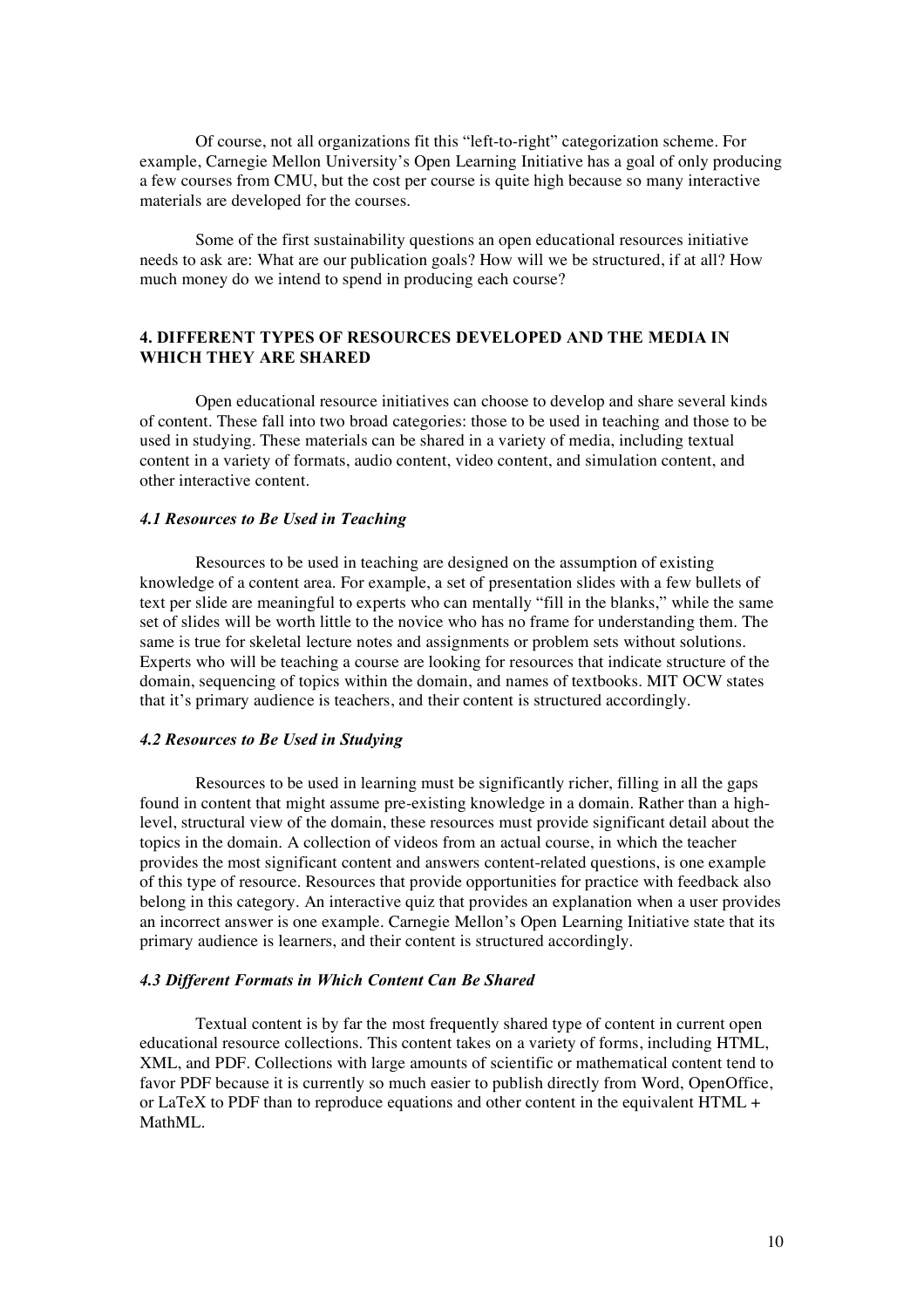Of course, not all organizations fit this "left-to-right" categorization scheme. For example, Carnegie Mellon University's Open Learning Initiative has a goal of only producing a few courses from CMU, but the cost per course is quite high because so many interactive materials are developed for the courses.

Some of the first sustainability questions an open educational resources initiative needs to ask are: What are our publication goals? How will we be structured, if at all? How much money do we intend to spend in producing each course?

## **4. DIFFERENT TYPES OF RESOURCES DEVELOPED AND THE MEDIA IN WHICH THEY ARE SHARED**

Open educational resource initiatives can choose to develop and share several kinds of content. These fall into two broad categories: those to be used in teaching and those to be used in studying. These materials can be shared in a variety of media, including textual content in a variety of formats, audio content, video content, and simulation content, and other interactive content.

### *4.1 Resources to Be Used in Teaching*

Resources to be used in teaching are designed on the assumption of existing knowledge of a content area. For example, a set of presentation slides with a few bullets of text per slide are meaningful to experts who can mentally "fill in the blanks," while the same set of slides will be worth little to the novice who has no frame for understanding them. The same is true for skeletal lecture notes and assignments or problem sets without solutions. Experts who will be teaching a course are looking for resources that indicate structure of the domain, sequencing of topics within the domain, and names of textbooks. MIT OCW states that it's primary audience is teachers, and their content is structured accordingly.

#### *4.2 Resources to Be Used in Studying*

Resources to be used in learning must be significantly richer, filling in all the gaps found in content that might assume pre-existing knowledge in a domain. Rather than a highlevel, structural view of the domain, these resources must provide significant detail about the topics in the domain. A collection of videos from an actual course, in which the teacher provides the most significant content and answers content-related questions, is one example of this type of resource. Resources that provide opportunities for practice with feedback also belong in this category. An interactive quiz that provides an explanation when a user provides an incorrect answer is one example. Carnegie Mellon's Open Learning Initiative state that its primary audience is learners, and their content is structured accordingly.

#### *4.3 Different Formats in Which Content Can Be Shared*

Textual content is by far the most frequently shared type of content in current open educational resource collections. This content takes on a variety of forms, including HTML, XML, and PDF. Collections with large amounts of scientific or mathematical content tend to favor PDF because it is currently so much easier to publish directly from Word, OpenOffice, or LaTeX to PDF than to reproduce equations and other content in the equivalent  $HTML +$ MathML.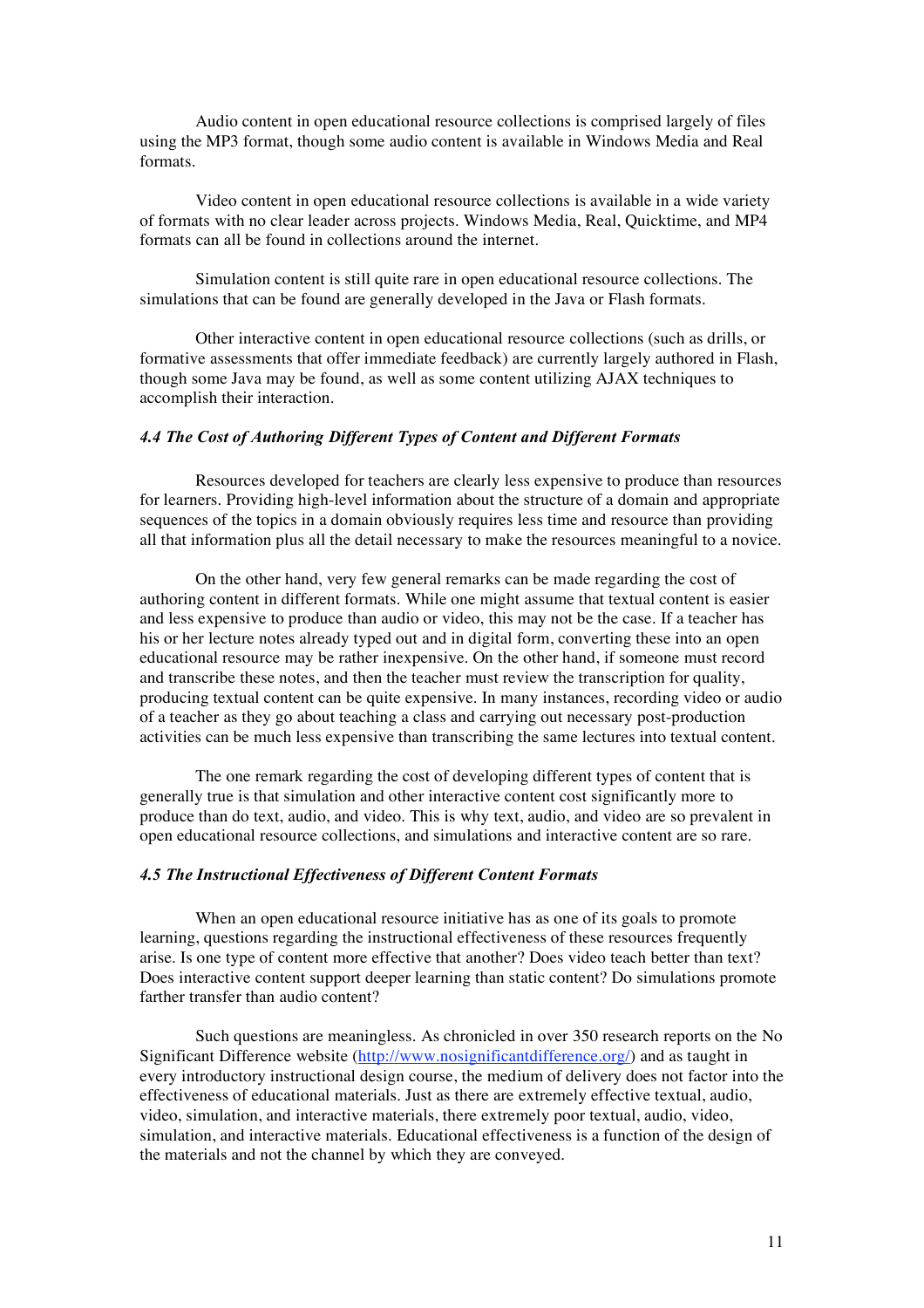Audio content in open educational resource collections is comprised largely of files using the MP3 format, though some audio content is available in Windows Media and Real formats.

Video content in open educational resource collections is available in a wide variety of formats with no clear leader across projects. Windows Media, Real, Quicktime, and MP4 formats can all be found in collections around the internet.

Simulation content is still quite rare in open educational resource collections. The simulations that can be found are generally developed in the Java or Flash formats.

Other interactive content in open educational resource collections (such as drills, or formative assessments that offer immediate feedback) are currently largely authored in Flash, though some Java may be found, as well as some content utilizing AJAX techniques to accomplish their interaction.

## *4.4 The Cost of Authoring Different Types of Content and Different Formats*

Resources developed for teachers are clearly less expensive to produce than resources for learners. Providing high-level information about the structure of a domain and appropriate sequences of the topics in a domain obviously requires less time and resource than providing all that information plus all the detail necessary to make the resources meaningful to a novice.

On the other hand, very few general remarks can be made regarding the cost of authoring content in different formats. While one might assume that textual content is easier and less expensive to produce than audio or video, this may not be the case. If a teacher has his or her lecture notes already typed out and in digital form, converting these into an open educational resource may be rather inexpensive. On the other hand, if someone must record and transcribe these notes, and then the teacher must review the transcription for quality, producing textual content can be quite expensive. In many instances, recording video or audio of a teacher as they go about teaching a class and carrying out necessary post-production activities can be much less expensive than transcribing the same lectures into textual content.

The one remark regarding the cost of developing different types of content that is generally true is that simulation and other interactive content cost significantly more to produce than do text, audio, and video. This is why text, audio, and video are so prevalent in open educational resource collections, and simulations and interactive content are so rare.

## *4.5 The Instructional Effectiveness of Different Content Formats*

When an open educational resource initiative has as one of its goals to promote learning, questions regarding the instructional effectiveness of these resources frequently arise. Is one type of content more effective that another? Does video teach better than text? Does interactive content support deeper learning than static content? Do simulations promote farther transfer than audio content?

Such questions are meaningless. As chronicled in over 350 research reports on the No Significant Difference website (http://www.nosignificantdifference.org/) and as taught in every introductory instructional design course, the medium of delivery does not factor into the effectiveness of educational materials. Just as there are extremely effective textual, audio, video, simulation, and interactive materials, there extremely poor textual, audio, video, simulation, and interactive materials. Educational effectiveness is a function of the design of the materials and not the channel by which they are conveyed.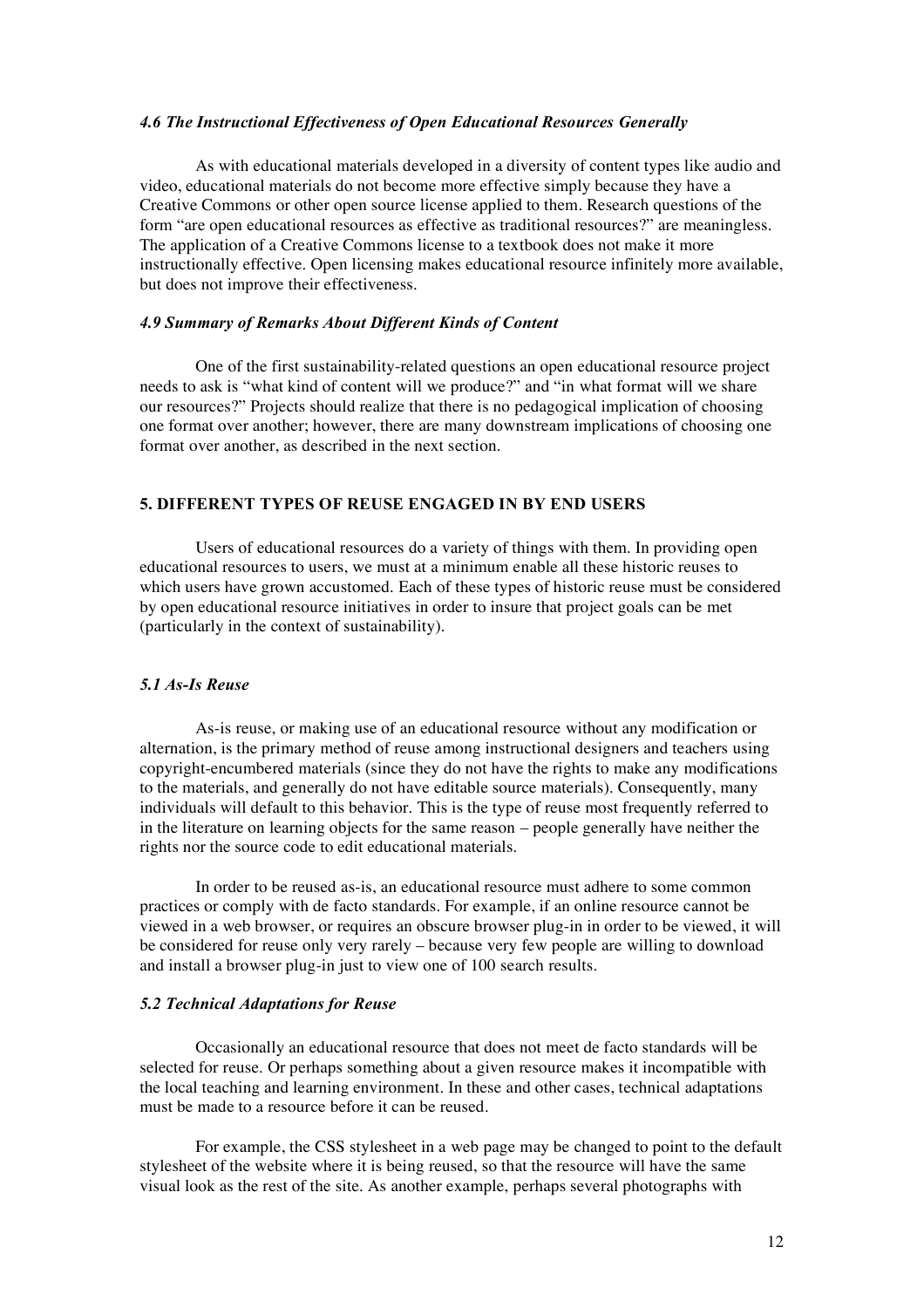#### *4.6 The Instructional Effectiveness of Open Educational Resources Generally*

As with educational materials developed in a diversity of content types like audio and video, educational materials do not become more effective simply because they have a Creative Commons or other open source license applied to them. Research questions of the form "are open educational resources as effective as traditional resources?" are meaningless. The application of a Creative Commons license to a textbook does not make it more instructionally effective. Open licensing makes educational resource infinitely more available, but does not improve their effectiveness.

#### *4.9 Summary of Remarks About Different Kinds of Content*

One of the first sustainability-related questions an open educational resource project needs to ask is "what kind of content will we produce?" and "in what format will we share our resources?" Projects should realize that there is no pedagogical implication of choosing one format over another; however, there are many downstream implications of choosing one format over another, as described in the next section.

## **5. DIFFERENT TYPES OF REUSE ENGAGED IN BY END USERS**

Users of educational resources do a variety of things with them. In providing open educational resources to users, we must at a minimum enable all these historic reuses to which users have grown accustomed. Each of these types of historic reuse must be considered by open educational resource initiatives in order to insure that project goals can be met (particularly in the context of sustainability).

#### *5.1 As-Is Reuse*

As-is reuse, or making use of an educational resource without any modification or alternation, is the primary method of reuse among instructional designers and teachers using copyright-encumbered materials (since they do not have the rights to make any modifications to the materials, and generally do not have editable source materials). Consequently, many individuals will default to this behavior. This is the type of reuse most frequently referred to in the literature on learning objects for the same reason – people generally have neither the rights nor the source code to edit educational materials.

In order to be reused as-is, an educational resource must adhere to some common practices or comply with de facto standards. For example, if an online resource cannot be viewed in a web browser, or requires an obscure browser plug-in in order to be viewed, it will be considered for reuse only very rarely – because very few people are willing to download and install a browser plug-in just to view one of 100 search results.

#### *5.2 Technical Adaptations for Reuse*

Occasionally an educational resource that does not meet de facto standards will be selected for reuse. Or perhaps something about a given resource makes it incompatible with the local teaching and learning environment. In these and other cases, technical adaptations must be made to a resource before it can be reused.

For example, the CSS stylesheet in a web page may be changed to point to the default stylesheet of the website where it is being reused, so that the resource will have the same visual look as the rest of the site. As another example, perhaps several photographs with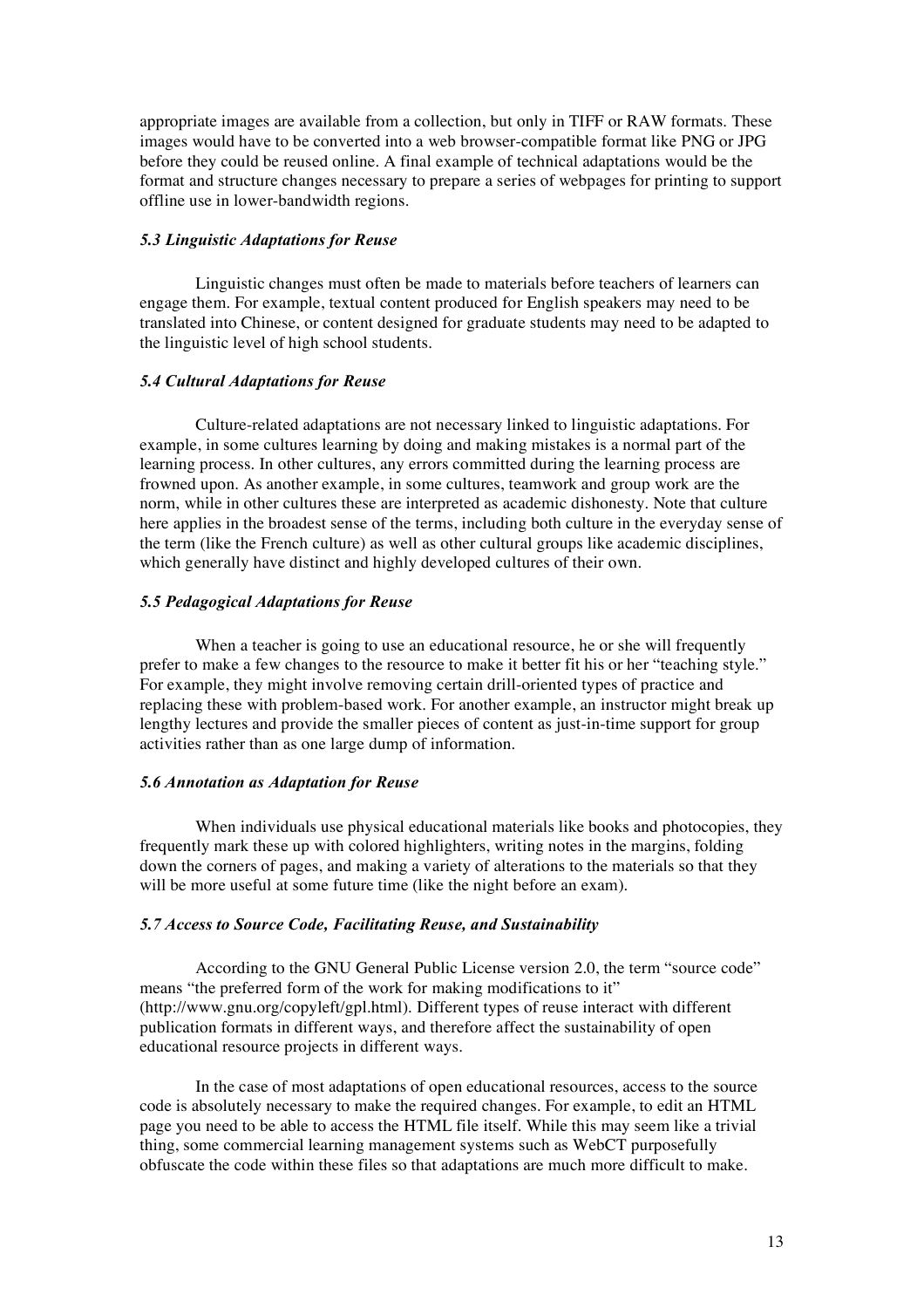appropriate images are available from a collection, but only in TIFF or RAW formats. These images would have to be converted into a web browser-compatible format like PNG or JPG before they could be reused online. A final example of technical adaptations would be the format and structure changes necessary to prepare a series of webpages for printing to support offline use in lower-bandwidth regions.

#### *5.3 Linguistic Adaptations for Reuse*

Linguistic changes must often be made to materials before teachers of learners can engage them. For example, textual content produced for English speakers may need to be translated into Chinese, or content designed for graduate students may need to be adapted to the linguistic level of high school students.

## *5.4 Cultural Adaptations for Reuse*

Culture-related adaptations are not necessary linked to linguistic adaptations. For example, in some cultures learning by doing and making mistakes is a normal part of the learning process. In other cultures, any errors committed during the learning process are frowned upon. As another example, in some cultures, teamwork and group work are the norm, while in other cultures these are interpreted as academic dishonesty. Note that culture here applies in the broadest sense of the terms, including both culture in the everyday sense of the term (like the French culture) as well as other cultural groups like academic disciplines, which generally have distinct and highly developed cultures of their own.

#### *5.5 Pedagogical Adaptations for Reuse*

When a teacher is going to use an educational resource, he or she will frequently prefer to make a few changes to the resource to make it better fit his or her "teaching style." For example, they might involve removing certain drill-oriented types of practice and replacing these with problem-based work. For another example, an instructor might break up lengthy lectures and provide the smaller pieces of content as just-in-time support for group activities rather than as one large dump of information.

#### *5.6 Annotation as Adaptation for Reuse*

When individuals use physical educational materials like books and photocopies, they frequently mark these up with colored highlighters, writing notes in the margins, folding down the corners of pages, and making a variety of alterations to the materials so that they will be more useful at some future time (like the night before an exam).

#### *5.7 Access to Source Code, Facilitating Reuse, and Sustainability*

According to the GNU General Public License version 2.0, the term "source code" means "the preferred form of the work for making modifications to it" (http://www.gnu.org/copyleft/gpl.html). Different types of reuse interact with different publication formats in different ways, and therefore affect the sustainability of open educational resource projects in different ways.

In the case of most adaptations of open educational resources, access to the source code is absolutely necessary to make the required changes. For example, to edit an HTML page you need to be able to access the HTML file itself. While this may seem like a trivial thing, some commercial learning management systems such as WebCT purposefully obfuscate the code within these files so that adaptations are much more difficult to make.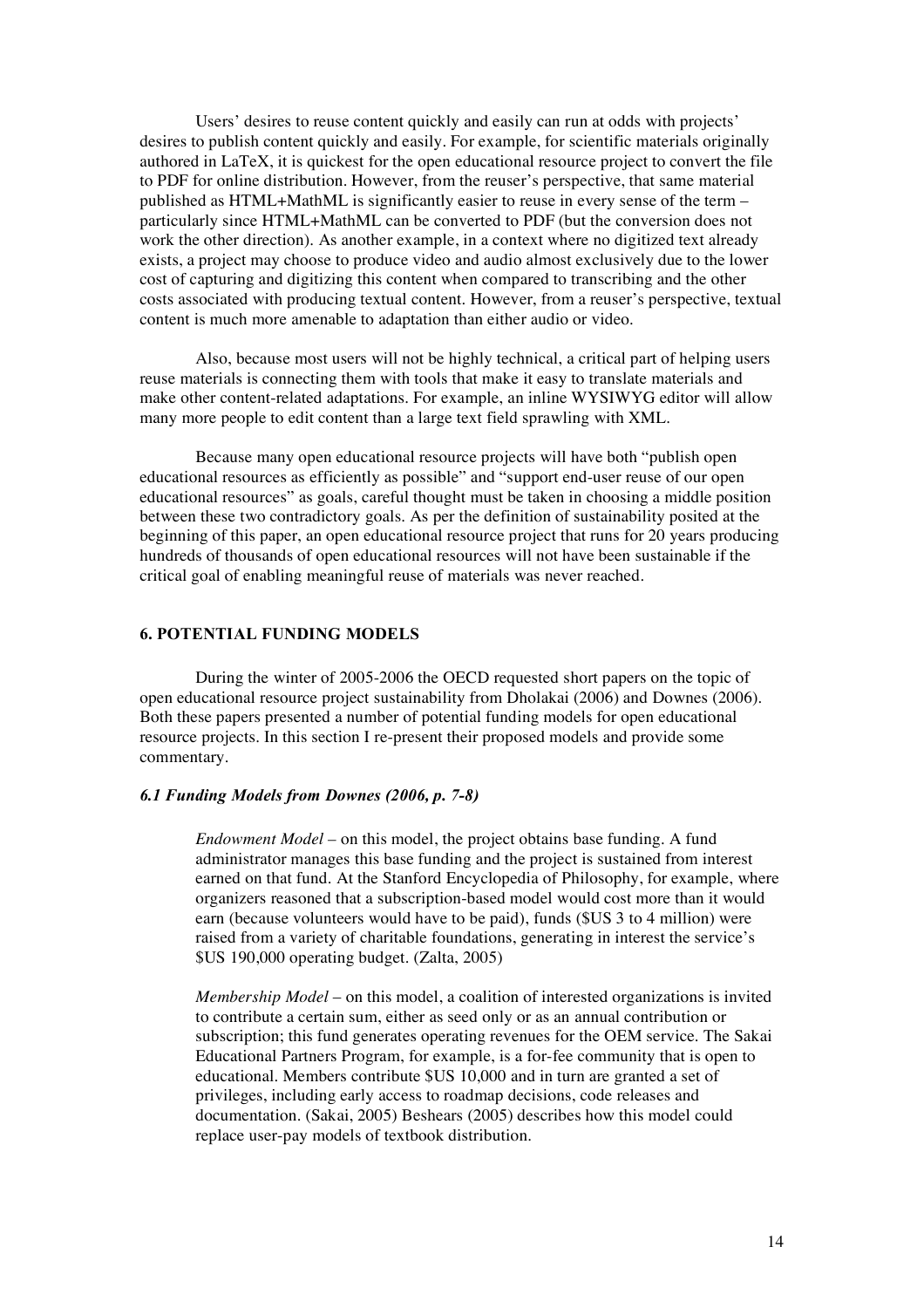Users' desires to reuse content quickly and easily can run at odds with projects' desires to publish content quickly and easily. For example, for scientific materials originally authored in LaTeX, it is quickest for the open educational resource project to convert the file to PDF for online distribution. However, from the reuser's perspective, that same material published as HTML+MathML is significantly easier to reuse in every sense of the term – particularly since HTML+MathML can be converted to PDF (but the conversion does not work the other direction). As another example, in a context where no digitized text already exists, a project may choose to produce video and audio almost exclusively due to the lower cost of capturing and digitizing this content when compared to transcribing and the other costs associated with producing textual content. However, from a reuser's perspective, textual content is much more amenable to adaptation than either audio or video.

Also, because most users will not be highly technical, a critical part of helping users reuse materials is connecting them with tools that make it easy to translate materials and make other content-related adaptations. For example, an inline WYSIWYG editor will allow many more people to edit content than a large text field sprawling with XML.

Because many open educational resource projects will have both "publish open educational resources as efficiently as possible" and "support end-user reuse of our open educational resources" as goals, careful thought must be taken in choosing a middle position between these two contradictory goals. As per the definition of sustainability posited at the beginning of this paper, an open educational resource project that runs for 20 years producing hundreds of thousands of open educational resources will not have been sustainable if the critical goal of enabling meaningful reuse of materials was never reached.

## **6. POTENTIAL FUNDING MODELS**

During the winter of 2005-2006 the OECD requested short papers on the topic of open educational resource project sustainability from Dholakai (2006) and Downes (2006). Both these papers presented a number of potential funding models for open educational resource projects. In this section I re-present their proposed models and provide some commentary.

## *6.1 Funding Models from Downes (2006, p. 7-8)*

*Endowment Model –* on this model, the project obtains base funding. A fund administrator manages this base funding and the project is sustained from interest earned on that fund. At the Stanford Encyclopedia of Philosophy, for example, where organizers reasoned that a subscription-based model would cost more than it would earn (because volunteers would have to be paid), funds (\$US 3 to 4 million) were raised from a variety of charitable foundations, generating in interest the service's \$US 190,000 operating budget. (Zalta, 2005)

*Membership Model* – on this model, a coalition of interested organizations is invited to contribute a certain sum, either as seed only or as an annual contribution or subscription; this fund generates operating revenues for the OEM service. The Sakai Educational Partners Program, for example, is a for-fee community that is open to educational. Members contribute \$US 10,000 and in turn are granted a set of privileges, including early access to roadmap decisions, code releases and documentation. (Sakai, 2005) Beshears (2005) describes how this model could replace user-pay models of textbook distribution.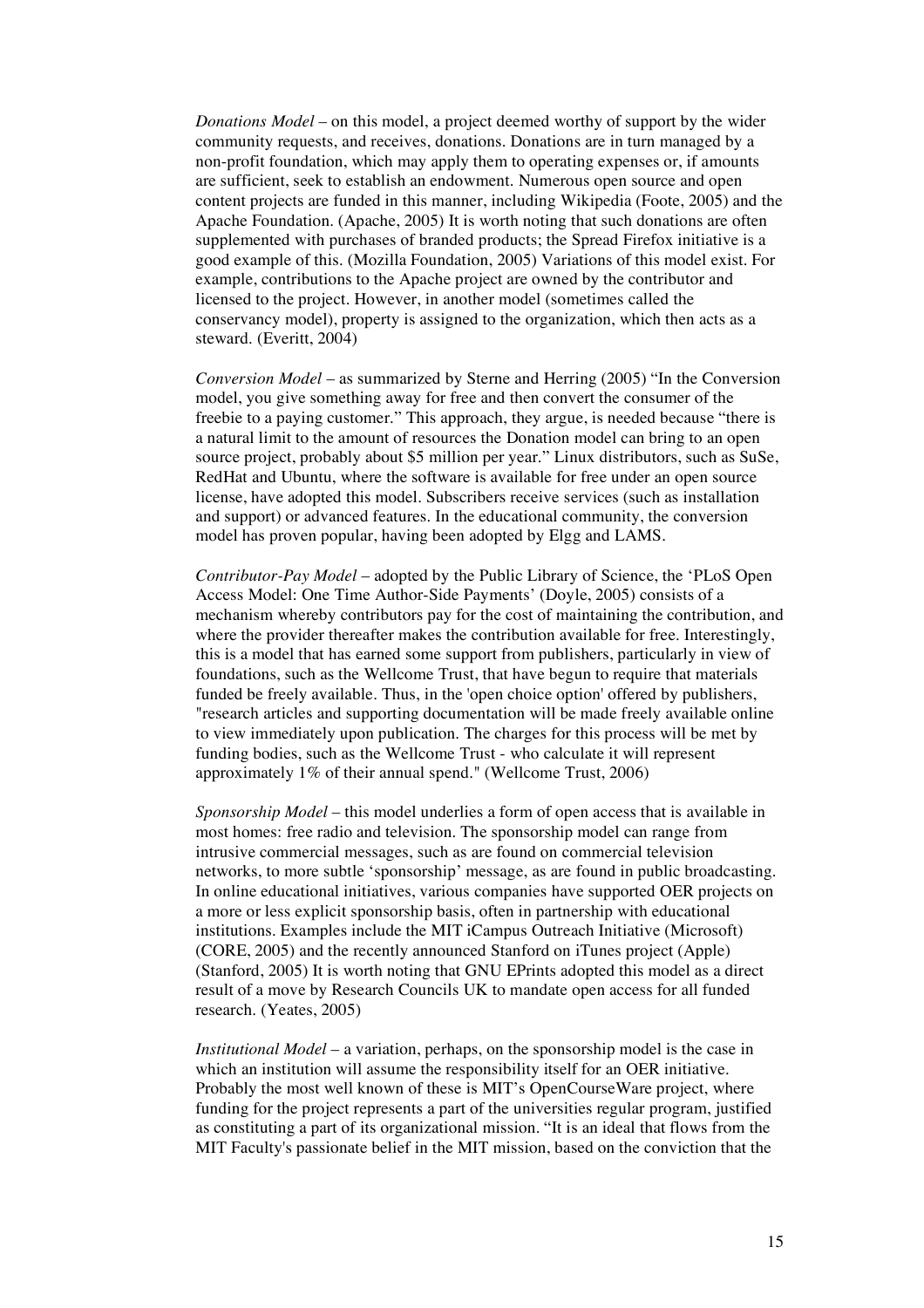*Donations Model* – on this model, a project deemed worthy of support by the wider community requests, and receives, donations. Donations are in turn managed by a non-profit foundation, which may apply them to operating expenses or, if amounts are sufficient, seek to establish an endowment. Numerous open source and open content projects are funded in this manner, including Wikipedia (Foote, 2005) and the Apache Foundation. (Apache, 2005) It is worth noting that such donations are often supplemented with purchases of branded products; the Spread Firefox initiative is a good example of this. (Mozilla Foundation, 2005) Variations of this model exist. For example, contributions to the Apache project are owned by the contributor and licensed to the project. However, in another model (sometimes called the conservancy model), property is assigned to the organization, which then acts as a steward. (Everitt, 2004)

*Conversion Model* – as summarized by Sterne and Herring (2005) "In the Conversion model, you give something away for free and then convert the consumer of the freebie to a paying customer." This approach, they argue, is needed because "there is a natural limit to the amount of resources the Donation model can bring to an open source project, probably about \$5 million per year." Linux distributors, such as SuSe, RedHat and Ubuntu, where the software is available for free under an open source license, have adopted this model. Subscribers receive services (such as installation and support) or advanced features. In the educational community, the conversion model has proven popular, having been adopted by Elgg and LAMS.

*Contributor-Pay Model* – adopted by the Public Library of Science, the 'PLoS Open Access Model: One Time Author-Side Payments' (Doyle, 2005) consists of a mechanism whereby contributors pay for the cost of maintaining the contribution, and where the provider thereafter makes the contribution available for free. Interestingly, this is a model that has earned some support from publishers, particularly in view of foundations, such as the Wellcome Trust, that have begun to require that materials funded be freely available. Thus, in the 'open choice option' offered by publishers, "research articles and supporting documentation will be made freely available online to view immediately upon publication. The charges for this process will be met by funding bodies, such as the Wellcome Trust - who calculate it will represent approximately 1% of their annual spend." (Wellcome Trust, 2006)

*Sponsorship Model* – this model underlies a form of open access that is available in most homes: free radio and television. The sponsorship model can range from intrusive commercial messages, such as are found on commercial television networks, to more subtle 'sponsorship' message, as are found in public broadcasting. In online educational initiatives, various companies have supported OER projects on a more or less explicit sponsorship basis, often in partnership with educational institutions. Examples include the MIT iCampus Outreach Initiative (Microsoft) (CORE, 2005) and the recently announced Stanford on iTunes project (Apple) (Stanford, 2005) It is worth noting that GNU EPrints adopted this model as a direct result of a move by Research Councils UK to mandate open access for all funded research. (Yeates, 2005)

*Institutional Model* – a variation, perhaps, on the sponsorship model is the case in which an institution will assume the responsibility itself for an OER initiative. Probably the most well known of these is MIT's OpenCourseWare project, where funding for the project represents a part of the universities regular program, justified as constituting a part of its organizational mission. "It is an ideal that flows from the MIT Faculty's passionate belief in the MIT mission, based on the conviction that the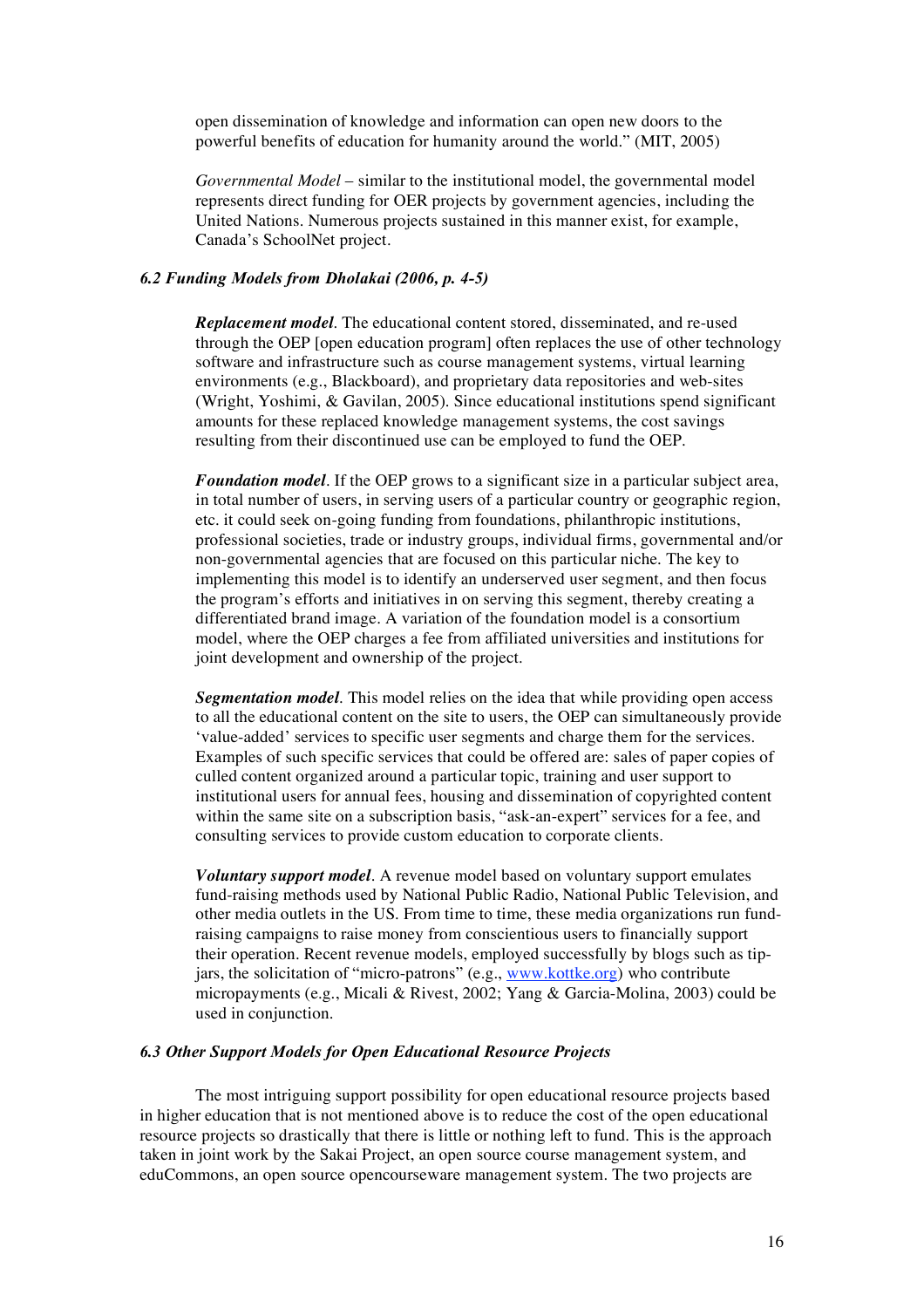open dissemination of knowledge and information can open new doors to the powerful benefits of education for humanity around the world." (MIT, 2005)

*Governmental Model* – similar to the institutional model, the governmental model represents direct funding for OER projects by government agencies, including the United Nations. Numerous projects sustained in this manner exist, for example, Canada's SchoolNet project.

## *6.2 Funding Models from Dholakai (2006, p. 4-5)*

*Replacement model*. The educational content stored, disseminated, and re-used through the OEP [open education program] often replaces the use of other technology software and infrastructure such as course management systems, virtual learning environments (e.g., Blackboard), and proprietary data repositories and web-sites (Wright, Yoshimi, & Gavilan, 2005). Since educational institutions spend significant amounts for these replaced knowledge management systems, the cost savings resulting from their discontinued use can be employed to fund the OEP.

*Foundation model*. If the OEP grows to a significant size in a particular subject area, in total number of users, in serving users of a particular country or geographic region, etc. it could seek on-going funding from foundations, philanthropic institutions, professional societies, trade or industry groups, individual firms, governmental and/or non-governmental agencies that are focused on this particular niche. The key to implementing this model is to identify an underserved user segment, and then focus the program's efforts and initiatives in on serving this segment, thereby creating a differentiated brand image. A variation of the foundation model is a consortium model, where the OEP charges a fee from affiliated universities and institutions for joint development and ownership of the project.

*Segmentation model*. This model relies on the idea that while providing open access to all the educational content on the site to users, the OEP can simultaneously provide 'value-added' services to specific user segments and charge them for the services. Examples of such specific services that could be offered are: sales of paper copies of culled content organized around a particular topic, training and user support to institutional users for annual fees, housing and dissemination of copyrighted content within the same site on a subscription basis, "ask-an-expert" services for a fee, and consulting services to provide custom education to corporate clients.

*Voluntary support model*. A revenue model based on voluntary support emulates fund-raising methods used by National Public Radio, National Public Television, and other media outlets in the US. From time to time, these media organizations run fundraising campaigns to raise money from conscientious users to financially support their operation. Recent revenue models, employed successfully by blogs such as tipjars, the solicitation of "micro-patrons" (e.g., www.kottke.org) who contribute micropayments (e.g., Micali & Rivest, 2002; Yang & Garcia-Molina, 2003) could be used in conjunction.

## *6.3 Other Support Models for Open Educational Resource Projects*

The most intriguing support possibility for open educational resource projects based in higher education that is not mentioned above is to reduce the cost of the open educational resource projects so drastically that there is little or nothing left to fund. This is the approach taken in joint work by the Sakai Project, an open source course management system, and eduCommons, an open source opencourseware management system. The two projects are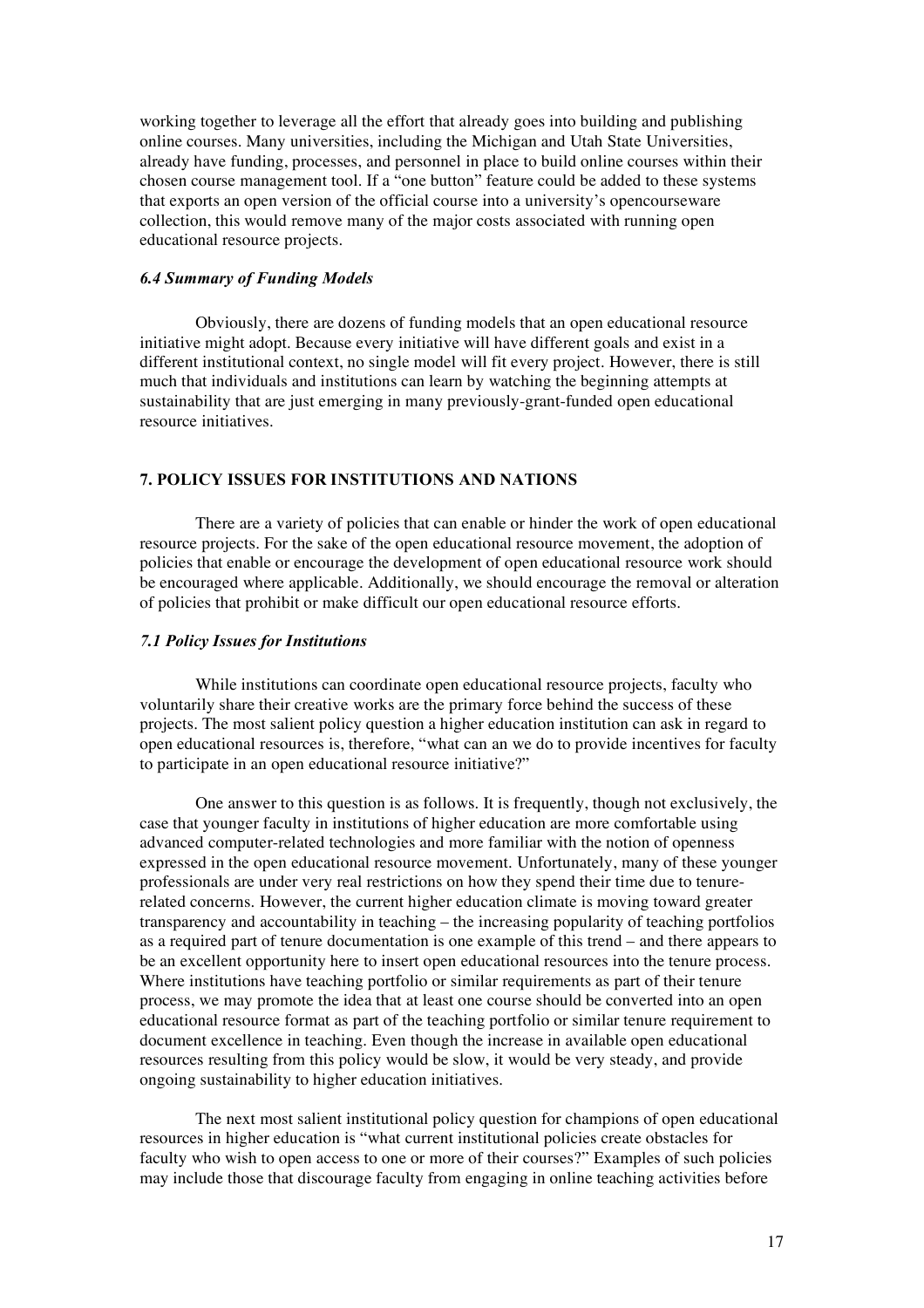working together to leverage all the effort that already goes into building and publishing online courses. Many universities, including the Michigan and Utah State Universities, already have funding, processes, and personnel in place to build online courses within their chosen course management tool. If a "one button" feature could be added to these systems that exports an open version of the official course into a university's opencourseware collection, this would remove many of the major costs associated with running open educational resource projects.

#### *6.4 Summary of Funding Models*

Obviously, there are dozens of funding models that an open educational resource initiative might adopt. Because every initiative will have different goals and exist in a different institutional context, no single model will fit every project. However, there is still much that individuals and institutions can learn by watching the beginning attempts at sustainability that are just emerging in many previously-grant-funded open educational resource initiatives.

#### **7. POLICY ISSUES FOR INSTITUTIONS AND NATIONS**

There are a variety of policies that can enable or hinder the work of open educational resource projects. For the sake of the open educational resource movement, the adoption of policies that enable or encourage the development of open educational resource work should be encouraged where applicable. Additionally, we should encourage the removal or alteration of policies that prohibit or make difficult our open educational resource efforts.

#### *7.1 Policy Issues for Institutions*

While institutions can coordinate open educational resource projects, faculty who voluntarily share their creative works are the primary force behind the success of these projects. The most salient policy question a higher education institution can ask in regard to open educational resources is, therefore, "what can an we do to provide incentives for faculty to participate in an open educational resource initiative?"

One answer to this question is as follows. It is frequently, though not exclusively, the case that younger faculty in institutions of higher education are more comfortable using advanced computer-related technologies and more familiar with the notion of openness expressed in the open educational resource movement. Unfortunately, many of these younger professionals are under very real restrictions on how they spend their time due to tenurerelated concerns. However, the current higher education climate is moving toward greater transparency and accountability in teaching – the increasing popularity of teaching portfolios as a required part of tenure documentation is one example of this trend – and there appears to be an excellent opportunity here to insert open educational resources into the tenure process. Where institutions have teaching portfolio or similar requirements as part of their tenure process, we may promote the idea that at least one course should be converted into an open educational resource format as part of the teaching portfolio or similar tenure requirement to document excellence in teaching. Even though the increase in available open educational resources resulting from this policy would be slow, it would be very steady, and provide ongoing sustainability to higher education initiatives.

The next most salient institutional policy question for champions of open educational resources in higher education is "what current institutional policies create obstacles for faculty who wish to open access to one or more of their courses?" Examples of such policies may include those that discourage faculty from engaging in online teaching activities before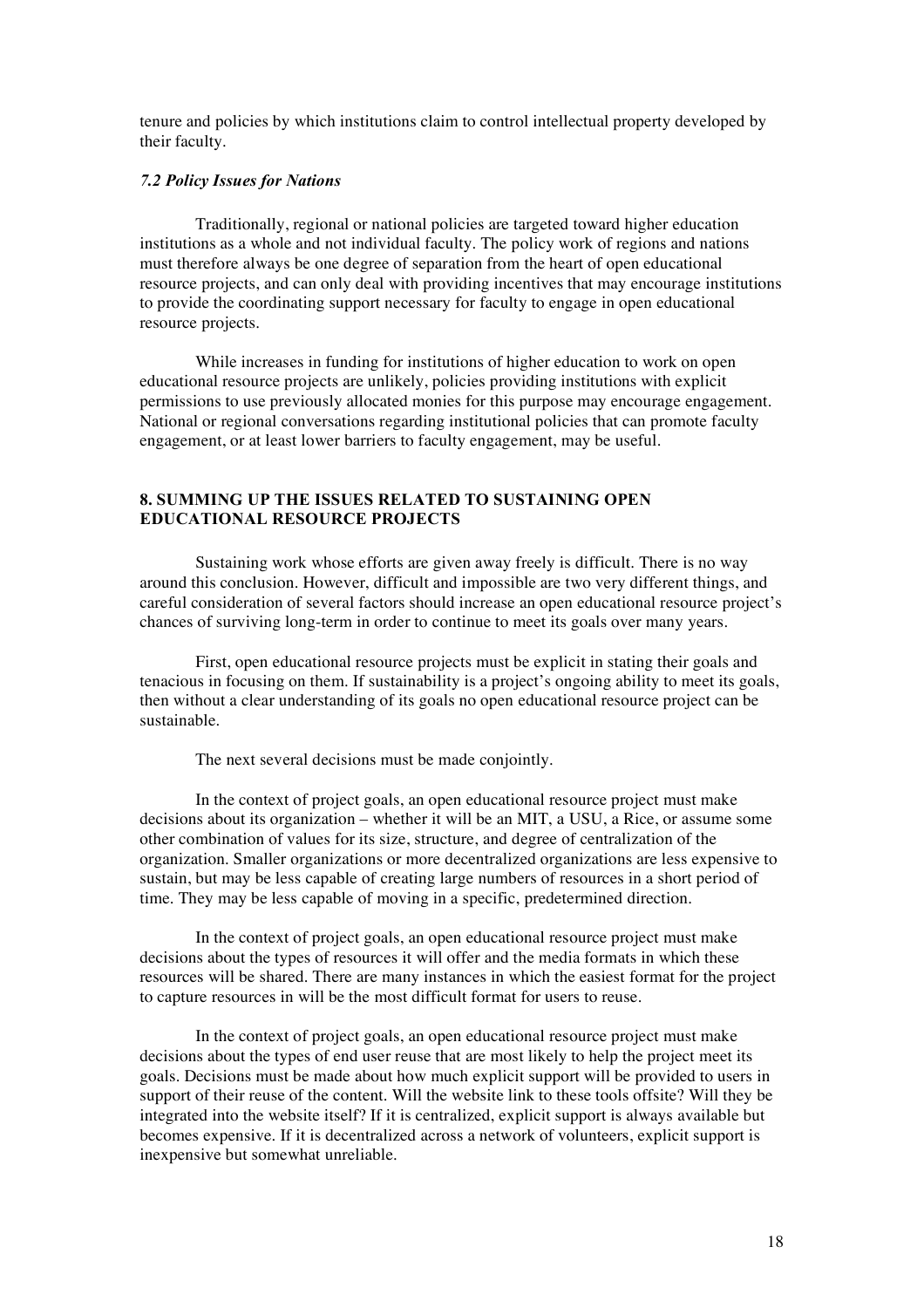tenure and policies by which institutions claim to control intellectual property developed by their faculty.

## *7.2 Policy Issues for Nations*

Traditionally, regional or national policies are targeted toward higher education institutions as a whole and not individual faculty. The policy work of regions and nations must therefore always be one degree of separation from the heart of open educational resource projects, and can only deal with providing incentives that may encourage institutions to provide the coordinating support necessary for faculty to engage in open educational resource projects.

While increases in funding for institutions of higher education to work on open educational resource projects are unlikely, policies providing institutions with explicit permissions to use previously allocated monies for this purpose may encourage engagement. National or regional conversations regarding institutional policies that can promote faculty engagement, or at least lower barriers to faculty engagement, may be useful.

## **8. SUMMING UP THE ISSUES RELATED TO SUSTAINING OPEN EDUCATIONAL RESOURCE PROJECTS**

Sustaining work whose efforts are given away freely is difficult. There is no way around this conclusion. However, difficult and impossible are two very different things, and careful consideration of several factors should increase an open educational resource project's chances of surviving long-term in order to continue to meet its goals over many years.

First, open educational resource projects must be explicit in stating their goals and tenacious in focusing on them. If sustainability is a project's ongoing ability to meet its goals, then without a clear understanding of its goals no open educational resource project can be sustainable.

The next several decisions must be made conjointly.

In the context of project goals, an open educational resource project must make decisions about its organization – whether it will be an MIT, a USU, a Rice, or assume some other combination of values for its size, structure, and degree of centralization of the organization. Smaller organizations or more decentralized organizations are less expensive to sustain, but may be less capable of creating large numbers of resources in a short period of time. They may be less capable of moving in a specific, predetermined direction.

In the context of project goals, an open educational resource project must make decisions about the types of resources it will offer and the media formats in which these resources will be shared. There are many instances in which the easiest format for the project to capture resources in will be the most difficult format for users to reuse.

In the context of project goals, an open educational resource project must make decisions about the types of end user reuse that are most likely to help the project meet its goals. Decisions must be made about how much explicit support will be provided to users in support of their reuse of the content. Will the website link to these tools offsite? Will they be integrated into the website itself? If it is centralized, explicit support is always available but becomes expensive. If it is decentralized across a network of volunteers, explicit support is inexpensive but somewhat unreliable.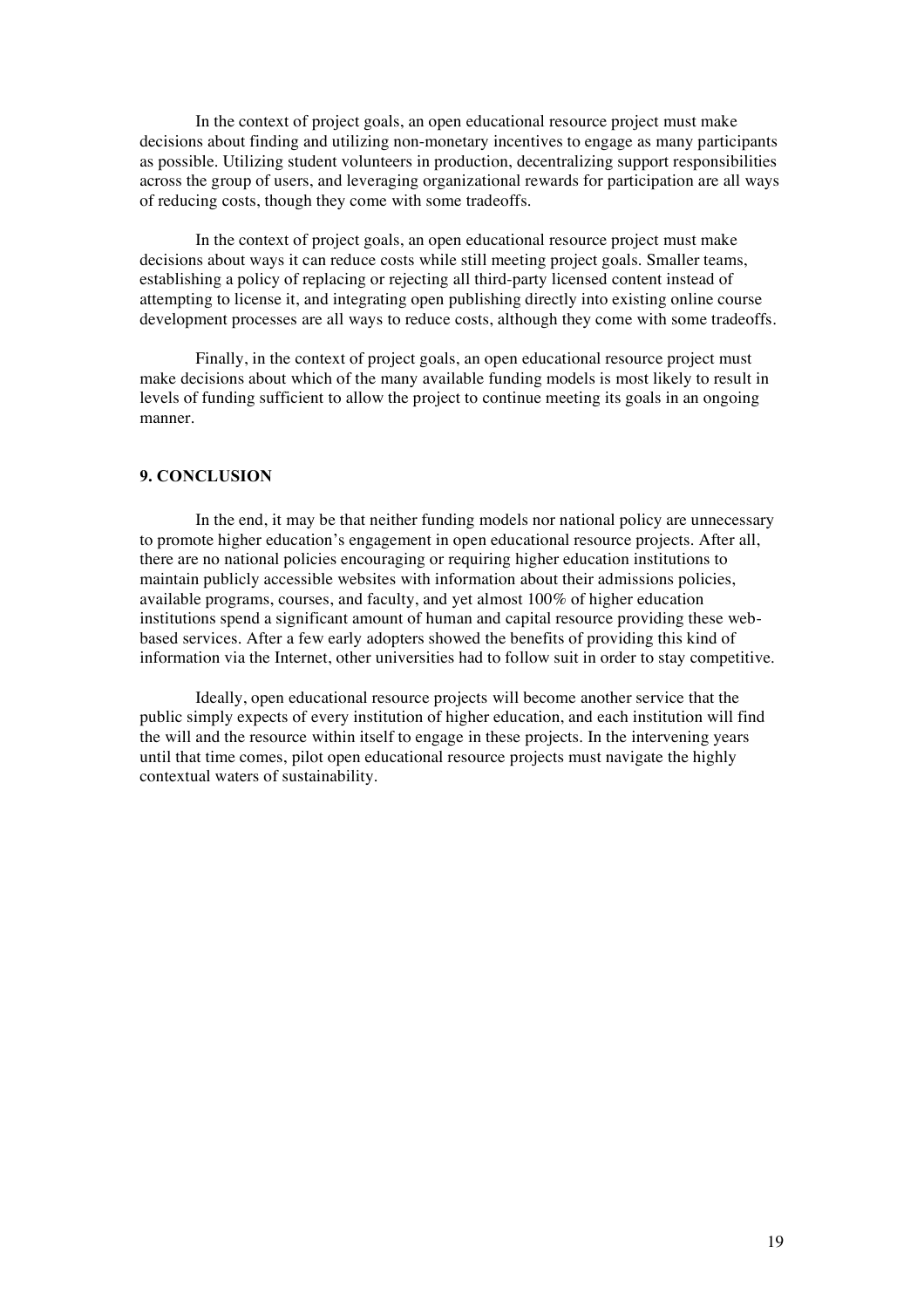In the context of project goals, an open educational resource project must make decisions about finding and utilizing non-monetary incentives to engage as many participants as possible. Utilizing student volunteers in production, decentralizing support responsibilities across the group of users, and leveraging organizational rewards for participation are all ways of reducing costs, though they come with some tradeoffs.

In the context of project goals, an open educational resource project must make decisions about ways it can reduce costs while still meeting project goals. Smaller teams, establishing a policy of replacing or rejecting all third-party licensed content instead of attempting to license it, and integrating open publishing directly into existing online course development processes are all ways to reduce costs, although they come with some tradeoffs.

Finally, in the context of project goals, an open educational resource project must make decisions about which of the many available funding models is most likely to result in levels of funding sufficient to allow the project to continue meeting its goals in an ongoing manner.

### **9. CONCLUSION**

In the end, it may be that neither funding models nor national policy are unnecessary to promote higher education's engagement in open educational resource projects. After all, there are no national policies encouraging or requiring higher education institutions to maintain publicly accessible websites with information about their admissions policies, available programs, courses, and faculty, and yet almost 100% of higher education institutions spend a significant amount of human and capital resource providing these webbased services. After a few early adopters showed the benefits of providing this kind of information via the Internet, other universities had to follow suit in order to stay competitive.

Ideally, open educational resource projects will become another service that the public simply expects of every institution of higher education, and each institution will find the will and the resource within itself to engage in these projects. In the intervening years until that time comes, pilot open educational resource projects must navigate the highly contextual waters of sustainability.